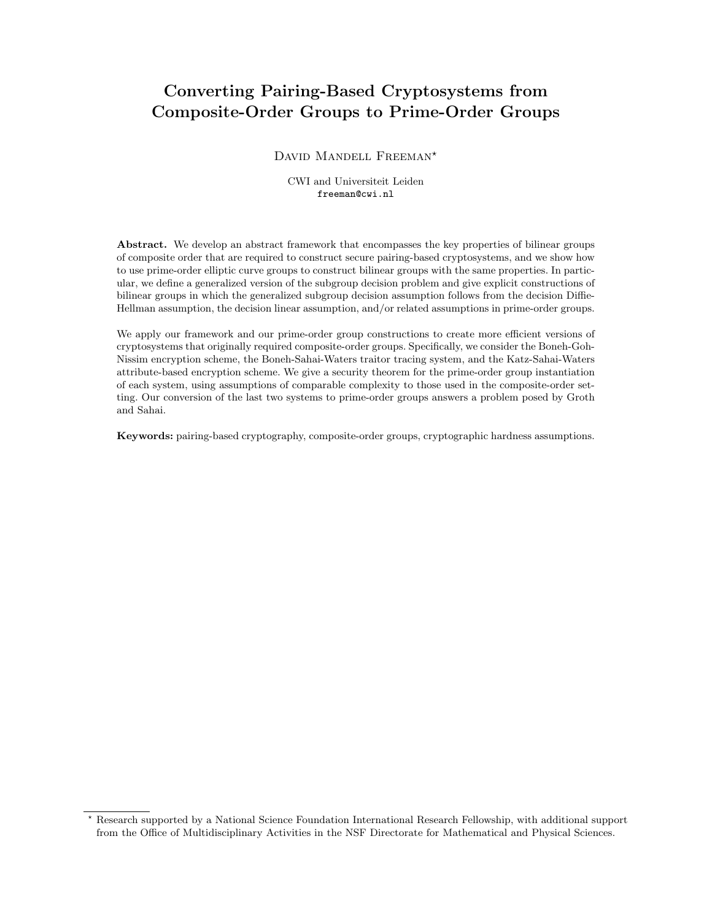# Converting Pairing-Based Cryptosystems from Composite-Order Groups to Prime-Order Groups

DAVID MANDELL FREEMAN<sup>\*</sup>

CWI and Universiteit Leiden freeman@cwi.nl

Abstract. We develop an abstract framework that encompasses the key properties of bilinear groups of composite order that are required to construct secure pairing-based cryptosystems, and we show how to use prime-order elliptic curve groups to construct bilinear groups with the same properties. In particular, we define a generalized version of the subgroup decision problem and give explicit constructions of bilinear groups in which the generalized subgroup decision assumption follows from the decision Diffie-Hellman assumption, the decision linear assumption, and/or related assumptions in prime-order groups.

We apply our framework and our prime-order group constructions to create more efficient versions of cryptosystems that originally required composite-order groups. Specifically, we consider the Boneh-Goh-Nissim encryption scheme, the Boneh-Sahai-Waters traitor tracing system, and the Katz-Sahai-Waters attribute-based encryption scheme. We give a security theorem for the prime-order group instantiation of each system, using assumptions of comparable complexity to those used in the composite-order setting. Our conversion of the last two systems to prime-order groups answers a problem posed by Groth and Sahai.

Keywords: pairing-based cryptography, composite-order groups, cryptographic hardness assumptions.

<sup>?</sup> Research supported by a National Science Foundation International Research Fellowship, with additional support from the Office of Multidisciplinary Activities in the NSF Directorate for Mathematical and Physical Sciences.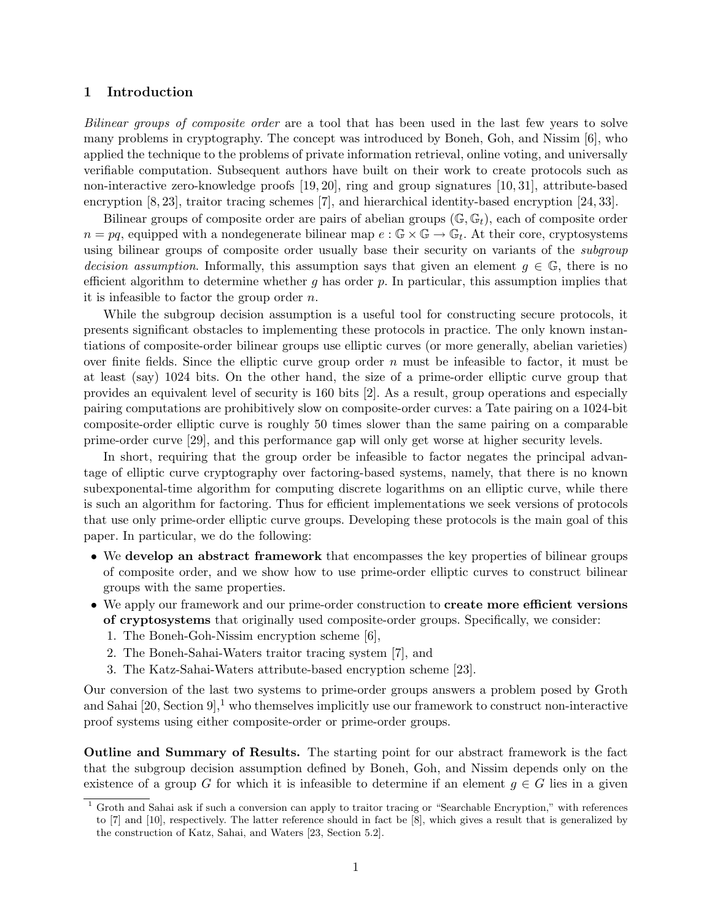# 1 Introduction

Bilinear groups of composite order are a tool that has been used in the last few years to solve many problems in cryptography. The concept was introduced by Boneh, Goh, and Nissim [6], who applied the technique to the problems of private information retrieval, online voting, and universally verifiable computation. Subsequent authors have built on their work to create protocols such as non-interactive zero-knowledge proofs [19, 20], ring and group signatures [10, 31], attribute-based encryption [8, 23], traitor tracing schemes [7], and hierarchical identity-based encryption [24, 33].

Bilinear groups of composite order are pairs of abelian groups  $(\mathbb{G}, \mathbb{G}_t)$ , each of composite order  $n = pq$ , equipped with a nondegenerate bilinear map  $e : \mathbb{G} \times \mathbb{G} \to \mathbb{G}_t$ . At their core, cryptosystems using bilinear groups of composite order usually base their security on variants of the *subgroup* decision assumption. Informally, this assumption says that given an element  $g \in \mathbb{G}$ , there is no efficient algorithm to determine whether g has order p. In particular, this assumption implies that it is infeasible to factor the group order  $n$ .

While the subgroup decision assumption is a useful tool for constructing secure protocols, it presents significant obstacles to implementing these protocols in practice. The only known instantiations of composite-order bilinear groups use elliptic curves (or more generally, abelian varieties) over finite fields. Since the elliptic curve group order n must be infeasible to factor, it must be at least (say) 1024 bits. On the other hand, the size of a prime-order elliptic curve group that provides an equivalent level of security is 160 bits [2]. As a result, group operations and especially pairing computations are prohibitively slow on composite-order curves: a Tate pairing on a 1024-bit composite-order elliptic curve is roughly 50 times slower than the same pairing on a comparable prime-order curve [29], and this performance gap will only get worse at higher security levels.

In short, requiring that the group order be infeasible to factor negates the principal advantage of elliptic curve cryptography over factoring-based systems, namely, that there is no known subexponental-time algorithm for computing discrete logarithms on an elliptic curve, while there is such an algorithm for factoring. Thus for efficient implementations we seek versions of protocols that use only prime-order elliptic curve groups. Developing these protocols is the main goal of this paper. In particular, we do the following:

- We develop an abstract framework that encompasses the key properties of bilinear groups of composite order, and we show how to use prime-order elliptic curves to construct bilinear groups with the same properties.
- We apply our framework and our prime-order construction to **create more efficient versions** of cryptosystems that originally used composite-order groups. Specifically, we consider:
	- 1. The Boneh-Goh-Nissim encryption scheme [6],
	- 2. The Boneh-Sahai-Waters traitor tracing system [7], and
	- 3. The Katz-Sahai-Waters attribute-based encryption scheme [23].

Our conversion of the last two systems to prime-order groups answers a problem posed by Groth and Sahai  $[20, Section 9]$ <sup>1</sup>, who themselves implicitly use our framework to construct non-interactive proof systems using either composite-order or prime-order groups.

Outline and Summary of Results. The starting point for our abstract framework is the fact that the subgroup decision assumption defined by Boneh, Goh, and Nissim depends only on the existence of a group G for which it is infeasible to determine if an element  $g \in G$  lies in a given

 $1$  Groth and Sahai ask if such a conversion can apply to traitor tracing or "Searchable Encryption," with references to [7] and [10], respectively. The latter reference should in fact be [8], which gives a result that is generalized by the construction of Katz, Sahai, and Waters [23, Section 5.2].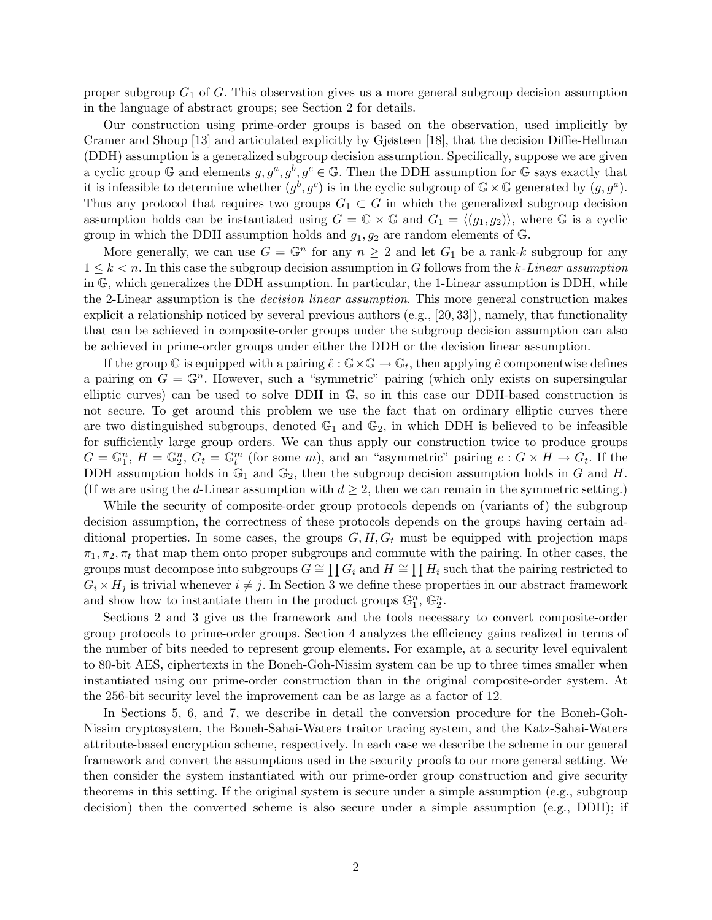proper subgroup  $G_1$  of G. This observation gives us a more general subgroup decision assumption in the language of abstract groups; see Section 2 for details.

Our construction using prime-order groups is based on the observation, used implicitly by Cramer and Shoup [13] and articulated explicitly by Gjøsteen [18], that the decision Diffie-Hellman (DDH) assumption is a generalized subgroup decision assumption. Specifically, suppose we are given a cyclic group G and elements  $g, g^a, g^b, g^c \in \mathbb{G}$ . Then the DDH assumption for G says exactly that it is infeasible to determine whether  $(g^b, g^c)$  is in the cyclic subgroup of  $\mathbb{G} \times \mathbb{G}$  generated by  $(g, g^a)$ . Thus any protocol that requires two groups  $G_1 \subset G$  in which the generalized subgroup decision assumption holds can be instantiated using  $G = \mathbb{G} \times \mathbb{G}$  and  $G_1 = \langle (g_1, g_2) \rangle$ , where G is a cyclic group in which the DDH assumption holds and  $g_1, g_2$  are random elements of G.

More generally, we can use  $G = \mathbb{G}^n$  for any  $n \geq 2$  and let  $G_1$  be a rank-k subgroup for any  $1 \leq k \leq n$ . In this case the subgroup decision assumption in G follows from the k-Linear assumption in G, which generalizes the DDH assumption. In particular, the 1-Linear assumption is DDH, while the 2-Linear assumption is the decision linear assumption. This more general construction makes explicit a relationship noticed by several previous authors  $(e.g., [20, 33])$ , namely, that functionality that can be achieved in composite-order groups under the subgroup decision assumption can also be achieved in prime-order groups under either the DDH or the decision linear assumption.

If the group G is equipped with a pairing  $\hat{e}$  :  $\mathbb{G}\times\mathbb{G}\to\mathbb{G}_t$ , then applying  $\hat{e}$  componentwise defines a pairing on  $G = \mathbb{G}^n$ . However, such a "symmetric" pairing (which only exists on supersingular elliptic curves) can be used to solve DDH in G, so in this case our DDH-based construction is not secure. To get around this problem we use the fact that on ordinary elliptic curves there are two distinguished subgroups, denoted  $\mathbb{G}_1$  and  $\mathbb{G}_2$ , in which DDH is believed to be infeasible for sufficiently large group orders. We can thus apply our construction twice to produce groups  $G = \mathbb{G}_1^n$ ,  $H = \mathbb{G}_2^n$ ,  $G_t = \mathbb{G}_t^m$  (for some m), and an "asymmetric" pairing  $e : G \times H \to G_t$ . If the DDH assumption holds in  $\mathbb{G}_1$  and  $\mathbb{G}_2$ , then the subgroup decision assumption holds in G and H. (If we are using the d-Linear assumption with  $d \geq 2$ , then we can remain in the symmetric setting.)

While the security of composite-order group protocols depends on (variants of) the subgroup decision assumption, the correctness of these protocols depends on the groups having certain additional properties. In some cases, the groups  $G, H, G_t$  must be equipped with projection maps  $\pi_1, \pi_2, \pi_t$  that map them onto proper subgroups and commute with the pairing. In other cases, the groups must decompose into subgroups  $G \cong \prod G_i$  and  $H \cong \prod H_i$  such that the pairing restricted to  $G_i \times H_j$  is trivial whenever  $i \neq j$ . In Section 3 we define these properties in our abstract framework and show how to instantiate them in the product groups  $\mathbb{G}_1^n$ ,  $\mathbb{G}_2^n$ .

Sections 2 and 3 give us the framework and the tools necessary to convert composite-order group protocols to prime-order groups. Section 4 analyzes the efficiency gains realized in terms of the number of bits needed to represent group elements. For example, at a security level equivalent to 80-bit AES, ciphertexts in the Boneh-Goh-Nissim system can be up to three times smaller when instantiated using our prime-order construction than in the original composite-order system. At the 256-bit security level the improvement can be as large as a factor of 12.

In Sections 5, 6, and 7, we describe in detail the conversion procedure for the Boneh-Goh-Nissim cryptosystem, the Boneh-Sahai-Waters traitor tracing system, and the Katz-Sahai-Waters attribute-based encryption scheme, respectively. In each case we describe the scheme in our general framework and convert the assumptions used in the security proofs to our more general setting. We then consider the system instantiated with our prime-order group construction and give security theorems in this setting. If the original system is secure under a simple assumption (e.g., subgroup decision) then the converted scheme is also secure under a simple assumption (e.g., DDH); if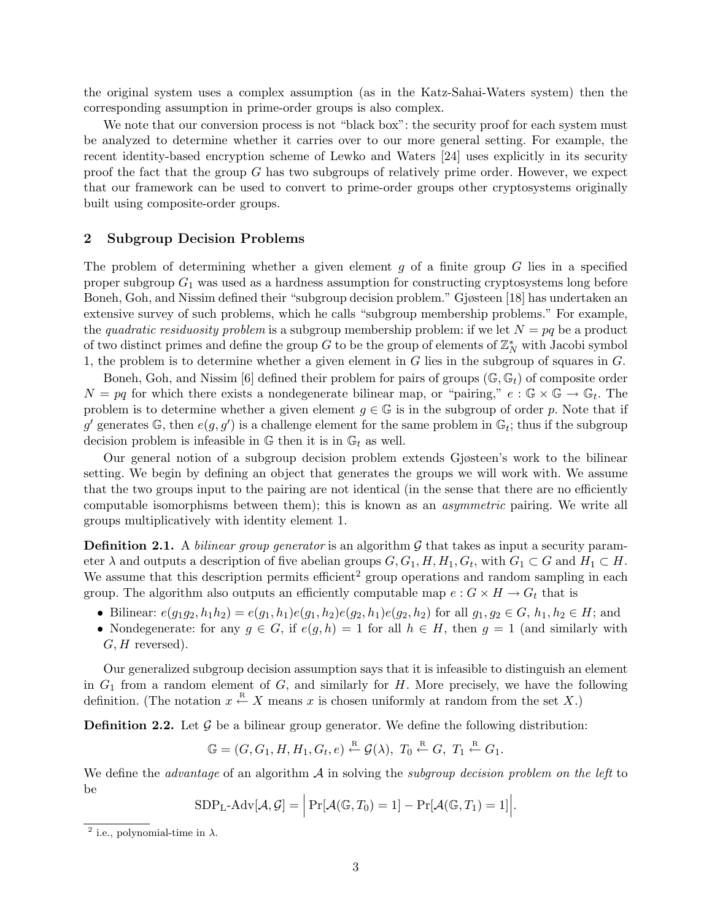the original system uses a complex assumption (as in the Katz-Sahai-Waters system) then the corresponding assumption in prime-order groups is also complex.

We note that our conversion process is not "black box": the security proof for each system must be analyzed to determine whether it carries over to our more general setting. For example, the recent identity-based encryption scheme of Lewko and Waters [24] uses explicitly in its security proof the fact that the group  $G$  has two subgroups of relatively prime order. However, we expect that our framework can be used to convert to prime-order groups other cryptosystems originally built using composite-order groups.

### 2 Subgroup Decision Problems

The problem of determining whether a given element  $g$  of a finite group  $G$  lies in a specified proper subgroup  $G_1$  was used as a hardness assumption for constructing cryptosystems long before Boneh, Goh, and Nissim defined their "subgroup decision problem." Gjøsteen [18] has undertaken an extensive survey of such problems, which he calls "subgroup membership problems." For example, the quadratic residuosity problem is a subgroup membership problem: if we let  $N = pq$  be a product of two distinct primes and define the group  $G$  to be the group of elements of  $\mathbb{Z}_N^*$  with Jacobi symbol 1, the problem is to determine whether a given element in G lies in the subgroup of squares in G.

Boneh, Goh, and Nissim [6] defined their problem for pairs of groups  $(\mathbb{G}, \mathbb{G}_t)$  of composite order  $N = pq$  for which there exists a nondegenerate bilinear map, or "pairing,"  $e : \mathbb{G} \times \mathbb{G} \to \mathbb{G}_t$ . The problem is to determine whether a given element  $g \in \mathbb{G}$  is in the subgroup of order p. Note that if g' generates  $\mathbb{G}$ , then  $e(g, g')$  is a challenge element for the same problem in  $\mathbb{G}_t$ ; thus if the subgroup decision problem is infeasible in  $\mathbb{G}$  then it is in  $\mathbb{G}_t$  as well.

Our general notion of a subgroup decision problem extends Gjøsteen's work to the bilinear setting. We begin by defining an object that generates the groups we will work with. We assume that the two groups input to the pairing are not identical (in the sense that there are no efficiently computable isomorphisms between them); this is known as an asymmetric pairing. We write all groups multiplicatively with identity element 1.

**Definition 2.1.** A *bilinear group generator* is an algorithm  $\mathcal{G}$  that takes as input a security parameter  $\lambda$  and outputs a description of five abelian groups  $G, G_1, H, H_1, G_t$ , with  $G_1 \subset G$  and  $H_1 \subset H$ . We assume that this description permits efficient<sup>2</sup> group operations and random sampling in each group. The algorithm also outputs an efficiently computable map  $e : G \times H \to G_t$  that is

- Bilinear:  $e(g_1g_2, h_1h_2) = e(g_1, h_1)e(g_1, h_2)e(g_2, h_1)e(g_2, h_2)$  for all  $g_1, g_2 \in G$ ,  $h_1, h_2 \in H$ ; and
- Nondegenerate: for any  $q \in G$ , if  $e(q, h) = 1$  for all  $h \in H$ , then  $q = 1$  (and similarly with  $G, H$  reversed).

Our generalized subgroup decision assumption says that it is infeasible to distinguish an element in  $G_1$  from a random element of  $G$ , and similarly for  $H$ . More precisely, we have the following definition. (The notation  $x \stackrel{R}{\leftarrow} X$  means x is chosen uniformly at random from the set X.)

**Definition 2.2.** Let  $\mathcal{G}$  be a bilinear group generator. We define the following distribution:

$$
\mathbb{G} = (G, G_1, H, H_1, G_t, e) \stackrel{\text{R}}{\leftarrow} \mathcal{G}(\lambda), T_0 \stackrel{\text{R}}{\leftarrow} G, T_1 \stackrel{\text{R}}{\leftarrow} G_1.
$$

We define the *advantage* of an algorithm  $\mathcal A$  in solving the *subgroup decision problem on the left* to be

$$
SDP_{L}\text{-}Adv[\mathcal{A}, \mathcal{G}] = \left| Pr[\mathcal{A}(\mathbb{G}, T_0) = 1] - Pr[\mathcal{A}(\mathbb{G}, T_1) = 1] \right|.
$$

<sup>&</sup>lt;sup>2</sup> i.e., polynomial-time in  $\lambda$ .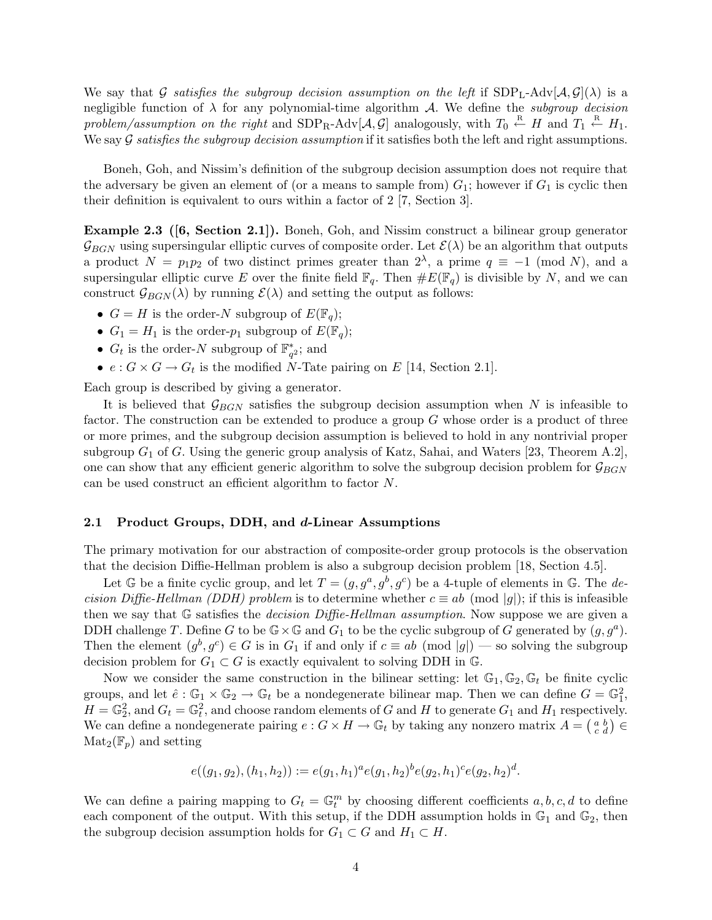We say that G satisfies the subgroup decision assumption on the left if  $SDP_{L-}\text{Adv}[\mathcal{A}, \mathcal{G}](\lambda)$  is a negligible function of  $\lambda$  for any polynomial-time algorithm A. We define the subgroup decision problem/assumption on the right and  $SDP_R-Adv[A, \mathcal{G}]$  analogously, with  $T_0 \stackrel{R}{\leftarrow} H$  and  $T_1 \stackrel{R}{\leftarrow} H_1$ . We say  $G$  satisfies the subgroup decision assumption if it satisfies both the left and right assumptions.

Boneh, Goh, and Nissim's definition of the subgroup decision assumption does not require that the adversary be given an element of (or a means to sample from)  $G_1$ ; however if  $G_1$  is cyclic then their definition is equivalent to ours within a factor of 2 [7, Section 3].

Example 2.3 ([6, Section 2.1]). Boneh, Goh, and Nissim construct a bilinear group generator  $\mathcal{G}_{BGN}$  using supersingular elliptic curves of composite order. Let  $\mathcal{E}(\lambda)$  be an algorithm that outputs a product  $N = p_1 p_2$  of two distinct primes greater than  $2^{\lambda}$ , a prime  $q \equiv -1 \pmod{N}$ , and a supersingular elliptic curve E over the finite field  $\mathbb{F}_q$ . Then  $\#E(\mathbb{F}_q)$  is divisible by N, and we can construct  $\mathcal{G}_{BGN}(\lambda)$  by running  $\mathcal{E}(\lambda)$  and setting the output as follows:

- $G = H$  is the order-N subgroup of  $E(\mathbb{F}_q)$ ;
- $G_1 = H_1$  is the order- $p_1$  subgroup of  $E(\mathbb{F}_q)$ ;
- $G_t$  is the order-N subgroup of  $\mathbb{F}_{q^2}^*$ ; and
- $e: G \times G \to G_t$  is the modified N-Tate pairing on E [14, Section 2.1].

Each group is described by giving a generator.

It is believed that  $\mathcal{G}_{BGN}$  satisfies the subgroup decision assumption when N is infeasible to factor. The construction can be extended to produce a group G whose order is a product of three or more primes, and the subgroup decision assumption is believed to hold in any nontrivial proper subgroup  $G_1$  of  $G$ . Using the generic group analysis of Katz, Sahai, and Waters [23, Theorem A.2], one can show that any efficient generic algorithm to solve the subgroup decision problem for  $\mathcal{G}_{BGN}$ can be used construct an efficient algorithm to factor N.

#### 2.1 Product Groups, DDH, and d-Linear Assumptions

The primary motivation for our abstraction of composite-order group protocols is the observation that the decision Diffie-Hellman problem is also a subgroup decision problem [18, Section 4.5].

Let G be a finite cyclic group, and let  $T = (g, g^a, g^b, g^c)$  be a 4-tuple of elements in G. The decision Diffie-Hellman (DDH) problem is to determine whether  $c \equiv ab \pmod{|q|}$ ; if this is infeasible then we say that  $\mathbb G$  satisfies the *decision Diffie-Hellman assumption*. Now suppose we are given a DDH challenge T. Define G to be  $\mathbb{G}\times\mathbb{G}$  and  $G_1$  to be the cyclic subgroup of G generated by  $(g, g^a)$ . Then the element  $(g^b, g^c) \in G$  is in  $G_1$  if and only if  $c \equiv ab \pmod{|g|}$  — so solving the subgroup decision problem for  $G_1 \subset G$  is exactly equivalent to solving DDH in G.

Now we consider the same construction in the bilinear setting: let  $\mathbb{G}_1, \mathbb{G}_2, \mathbb{G}_t$  be finite cyclic groups, and let  $\hat{e}: \mathbb{G}_1 \times \mathbb{G}_2 \to \mathbb{G}_t$  be a nondegenerate bilinear map. Then we can define  $G = \mathbb{G}_1^2$ ,  $H = \mathbb{G}_2^2$ , and  $G_t = \mathbb{G}_t^2$ , and choose random elements of G and H to generate  $G_1$  and  $H_1$  respectively. We can define a nondegenerate pairing  $e: G \times H \to \mathbb{G}_t$  by taking any nonzero matrix  $A = \begin{pmatrix} a & b \\ c & d \end{pmatrix} \in$  $\text{Mat}_2(\mathbb{F}_p)$  and setting

$$
e((g_1, g_2), (h_1, h_2)) := e(g_1, h_1)^a e(g_1, h_2)^b e(g_2, h_1)^c e(g_2, h_2)^d.
$$

We can define a pairing mapping to  $G_t = \mathbb{G}_t^m$  by choosing different coefficients  $a, b, c, d$  to define each component of the output. With this setup, if the DDH assumption holds in  $\mathbb{G}_1$  and  $\mathbb{G}_2$ , then the subgroup decision assumption holds for  $G_1 \subset G$  and  $H_1 \subset H$ .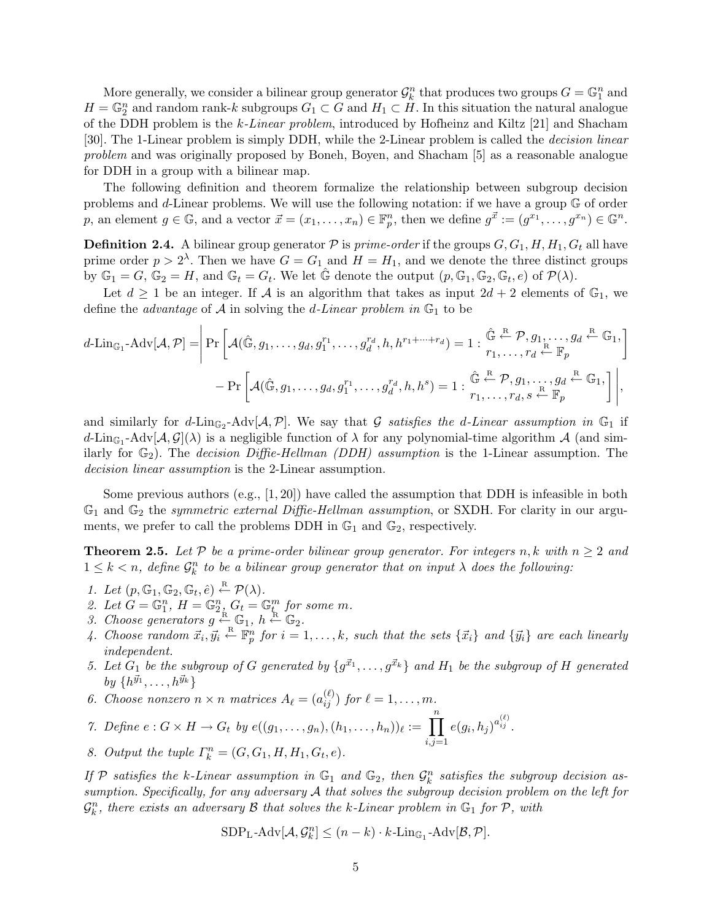More generally, we consider a bilinear group generator  $\mathcal{G}_k^n$  that produces two groups  $G = \mathbb{G}_1^n$  and  $H = \mathbb{G}_2^n$  and random rank-k subgroups  $G_1 \subset G$  and  $H_1 \subset \tilde{H}$ . In this situation the natural analogue of the DDH problem is the k-Linear problem, introduced by Hofheinz and Kiltz [21] and Shacham [30]. The 1-Linear problem is simply DDH, while the 2-Linear problem is called the decision linear problem and was originally proposed by Boneh, Boyen, and Shacham [5] as a reasonable analogue for DDH in a group with a bilinear map.

The following definition and theorem formalize the relationship between subgroup decision problems and d-Linear problems. We will use the following notation: if we have a group G of order p, an element  $g \in \mathbb{G}$ , and a vector  $\vec{x} = (x_1, \ldots, x_n) \in \mathbb{F}_p^n$ , then we define  $g^{\vec{x}} := (g^{x_1}, \ldots, g^{x_n}) \in \mathbb{G}^n$ .

**Definition 2.4.** A bilinear group generator  $P$  is prime-order if the groups  $G, G_1, H, H_1, G_t$  all have prime order  $p > 2^{\lambda}$ . Then we have  $G = G_1$  and  $H = H_1$ , and we denote the three distinct groups by  $\mathbb{G}_1 = G$ ,  $\mathbb{G}_2 = H$ , and  $\mathbb{G}_t = G_t$ . We let  $\hat{\mathbb{G}}$  denote the output  $(p, \mathbb{G}_1, \mathbb{G}_2, \mathbb{G}_t, e)$  of  $\mathcal{P}(\lambda)$ .

Let  $d \geq 1$  be an integer. If A is an algorithm that takes as input  $2d + 2$  elements of  $\mathbb{G}_1$ , we define the *advantage* of A in solving the *d*-Linear problem in  $\mathbb{G}_1$  to be

$$
d\text{-Lin}_{\mathbb{G}_1}\text{-Adv}[\mathcal{A},\mathcal{P}]=\left|\Pr\left[\mathcal{A}(\hat{\mathbb{G}},g_1,\ldots,g_d,g_1^{r_1},\ldots,g_d^{r_d},h,h^{r_1+\cdots+r_d})=1:\begin{matrix}\hat{\mathbb{G}}\stackrel{\mathbb{R}}{\leftarrow} \mathcal{P},g_1,\ldots,g_d\stackrel{\mathbb{R}}{\leftarrow} \mathbb{G}_1,\\r_1,\ldots,r_d\stackrel{\mathbb{R}}{\leftarrow} \mathbb{F}_p\end{matrix}\right]\right.\right.\left.-\Pr\left[\mathcal{A}(\hat{\mathbb{G}},g_1,\ldots,g_d,g_1^{r_1},\ldots,g_d^{r_d},h,h^s)=1:\begin{matrix}\hat{\mathbb{G}}\stackrel{\mathbb{R}}{\leftarrow} \mathcal{P},g_1,\ldots,g_d\stackrel{\mathbb{R}}{\leftarrow} \mathbb{F}_p\\r_1,\ldots,r_d,s\stackrel{\mathbb{R}}{\leftarrow} \mathbb{F}_p\end{matrix}\right]\right|,
$$

and similarly for d-Lin<sub>G2</sub>-Adv[ $A, P$ ]. We say that G satisfies the d-Linear assumption in G<sub>1</sub> if  $d\text{-Lin}_{\mathbb{G}_1}\text{-Adv}[\mathcal{A},\mathcal{G}](\lambda)$  is a negligible function of  $\lambda$  for any polynomial-time algorithm  $\mathcal{A}$  (and similarly for  $\mathbb{G}_2$ ). The *decision Diffie-Hellman (DDH)* assumption is the 1-Linear assumption. The decision linear assumption is the 2-Linear assumption.

Some previous authors (e.g.,  $[1, 20]$ ) have called the assumption that DDH is infeasible in both  $\mathbb{G}_1$  and  $\mathbb{G}_2$  the symmetric external Diffie-Hellman assumption, or SXDH. For clarity in our arguments, we prefer to call the problems DDH in  $\mathbb{G}_1$  and  $\mathbb{G}_2$ , respectively.

**Theorem 2.5.** Let P be a prime-order bilinear group generator. For integers n, k with  $n \geq 2$  and  $1 \leq k < n$ , define  $\mathcal{G}_k^n$  to be a bilinear group generator that on input  $\lambda$  does the following:

- 1. Let  $(p, \mathbb{G}_1, \mathbb{G}_2, \mathbb{G}_t, \hat{e}) \stackrel{\text{R}}{\leftarrow} \mathcal{P}(\lambda)$ .
- 2. Let  $G = \mathbb{G}_1^n$ ,  $H = \mathbb{G}_2^n$ ,  $G_t = \mathbb{G}_L^m$  for some m.
- 3. Choose generators  $g \stackrel{\text{R}}{\leftarrow} \mathbb{G}_1$ ,  $h \stackrel{\text{R}}{\leftarrow} \mathbb{G}_2$ .
- 4. Choose random  $\vec{x}_i, \vec{y}_i \stackrel{\text{R}}{\leftarrow} \mathbb{F}_p^n$  for  $i = 1, \ldots, k$ , such that the sets  $\{\vec{x}_i\}$  and  $\{\vec{y}_i\}$  are each linearly independent.
- 5. Let  $G_1$  be the subgroup of G generated by  $\{g^{\vec{x}_1}, \ldots, g^{\vec{x}_k}\}$  and  $H_1$  be the subgroup of H generated  $by \{h^{\vec{y}_1}, \ldots, h^{\vec{y}_k}\}$
- 6. Choose nonzero  $n \times n$  matrices  $A_{\ell} = (a_{ij}^{(\ell)})$  for  $\ell = 1, \ldots, m$ .

7. Define 
$$
e: G \times H \to G_t
$$
 by  $e((g_1, ..., g_n), (h_1, ..., h_n))_{\ell} := \prod_{i,j=1}^n e(g_i, h_j)^{a_{ij}^{(\ell)}}$ .

8. Output the tuple  $\Gamma_k^n = (G, G_1, H, H_1, G_t, e)$ .

If P satisfies the k-Linear assumption in  $\mathbb{G}_1$  and  $\mathbb{G}_2$ , then  $\mathcal{G}_k^n$  satisfies the subgroup decision assumption. Specifically, for any adversary A that solves the subgroup decision problem on the left for  $\mathcal{G}^n_k$ , there exists an adversary  $\mathcal B$  that solves the k-Linear problem in  $\mathbb G_1$  for  $\mathcal P$ , with

$$
\text{SDP}_{\text{L}}\text{-}\text{Adv}[\mathcal{A}, \mathcal{G}_k^n] \le (n-k) \cdot k \text{-}\text{Lin}_{\mathbb{G}_1} \text{-}\text{Adv}[\mathcal{B}, \mathcal{P}].
$$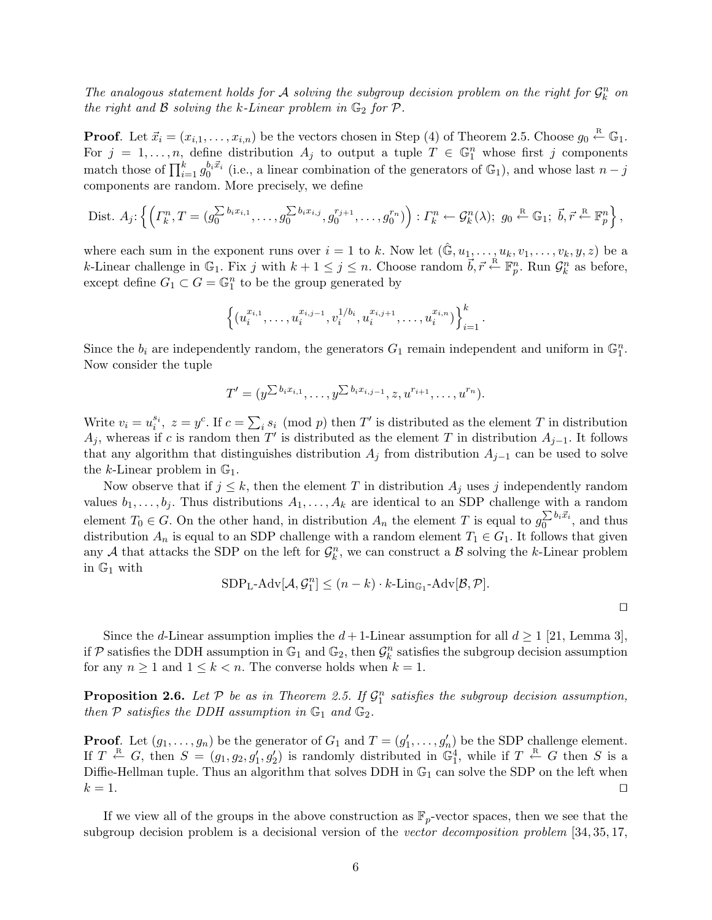The analogous statement holds for A solving the subgroup decision problem on the right for  $\mathcal{G}_k^n$  on the right and  $\beta$  solving the k-Linear problem in  $\mathbb{G}_2$  for  $\mathcal{P}$ .

**Proof.** Let  $\vec{x}_i = (x_{i,1}, \ldots, x_{i,n})$  be the vectors chosen in Step (4) of Theorem 2.5. Choose  $g_0 \stackrel{\text{R}}{\leftarrow} \mathbb{G}_1$ . For  $j = 1, \ldots, n$ , define distribution  $A_j$  to output a tuple  $T \in \mathbb{G}_1^n$  whose first j components match those of  $\prod_{i=1}^k g_0^{b_i \vec{x}_i}$  (i.e., a linear combination of the generators of  $\mathbb{G}_1$ ), and whose last  $n - j$ components are random. More precisely, we define

Dist. 
$$
A_j
$$
:  $\left\{ \left( \Gamma_k^n, T = (g_0^{\sum b_i x_{i,1}}, \dots, g_0^{\sum b_i x_{i,j}}, g_0^{r_{j+1}}, \dots, g_0^{r_n}) \right) : \Gamma_k^n \leftarrow \mathcal{G}_k^n(\lambda); g_0 \stackrel{\text{R}}{\leftarrow} \mathbb{G}_1; \vec{b}, \vec{r} \stackrel{\text{R}}{\leftarrow} \mathbb{F}_p^n \right\},$ 

where each sum in the exponent runs over  $i = 1$  to k. Now let  $(\mathbb{G}, u_1, \ldots, u_k, v_1, \ldots, v_k, y, z)$  be a k-Linear challenge in  $\mathbb{G}_1$ . Fix j with  $k+1 \leq j \leq n$ . Choose random  $\vec{b}, \vec{r} \leftarrow \mathbb{F}_p^n$ . Run  $\mathcal{G}_k^n$  as before, except define  $G_1 \subset G = \mathbb{G}_1^n$  to be the group generated by

$$
\left\{(u_i^{x_{i,1}},\ldots,u_i^{x_{i,j-1}},v_i^{1/b_i},u_i^{x_{i,j+1}},\ldots,u_i^{x_{i,n}})\right\}_{i=1}^k.
$$

Since the  $b_i$  are independently random, the generators  $G_1$  remain independent and uniform in  $\mathbb{G}_1^n$ . Now consider the tuple

$$
T' = (y^{\sum b_i x_{i,1}}, \dots, y^{\sum b_i x_{i,j-1}}, z, u^{r_{i+1}}, \dots, u^{r_n}).
$$

Write  $v_i = u_i^{s_i}$ ,  $z = y^c$ . If  $c = \sum_i s_i \pmod{p}$  then T' is distributed as the element T in distribution  $A_j$ , whereas if c is random then T' is distributed as the element T in distribution  $A_{j-1}$ . It follows that any algorithm that distinguishes distribution  $A_j$  from distribution  $A_{j-1}$  can be used to solve the k-Linear problem in  $\mathbb{G}_1$ .

Now observe that if  $j \leq k$ , then the element T in distribution  $A_j$  uses j independently random values  $b_1, \ldots, b_j$ . Thus distributions  $A_1, \ldots, A_k$  are identical to an SDP challenge with a random element  $T_0 \in G$ . On the other hand, in distribution  $A_n$  the element T is equal to  $g_0^{\sum b_i \vec{x}_i}$  $\frac{\sum o_i x_i}{0}$ , and thus distribution  $A_n$  is equal to an SDP challenge with a random element  $T_1 \in G_1$ . It follows that given any A that attacks the SDP on the left for  $\mathcal{G}_k^n$ , we can construct a B solving the k-Linear problem in  $\mathbb{G}_1$  with

$$
\text{SDP}_{\text{L}}\text{-}\text{Adv}[\mathcal{A}, \mathcal{G}_1^n] \le (n-k) \cdot k \text{-}\text{Lin}_{\mathbb{G}_1} \text{-}\text{Adv}[\mathcal{B}, \mathcal{P}].
$$

 $\Box$ 

Since the d-Linear assumption implies the  $d+1$ -Linear assumption for all  $d\geq 1$  [21, Lemma 3], if  $P$  satisfies the DDH assumption in  $\mathbb{G}_1$  and  $\mathbb{G}_2$ , then  $\mathcal{G}_k^n$  satisfies the subgroup decision assumption for any  $n \geq 1$  and  $1 \leq k < n$ . The converse holds when  $k = 1$ .

**Proposition 2.6.** Let  $P$  be as in Theorem 2.5. If  $\mathcal{G}_1^n$  satisfies the subgroup decision assumption, then  $P$  satisfies the DDH assumption in  $\mathbb{G}_1$  and  $\mathbb{G}_2$ .

**Proof.** Let  $(g_1, \ldots, g_n)$  be the generator of  $G_1$  and  $T = (g'_1, \ldots, g'_n)$  be the SDP challenge element. If  $T \stackrel{\text{R}}{\leftarrow} G$ , then  $S = (g_1, g_2, g'_1, g'_2)$  is randomly distributed in  $\mathbb{G}_1^4$ , while if  $T \stackrel{\text{R}}{\leftarrow} G$  then S is a Diffie-Hellman tuple. Thus an algorithm that solves DDH in  $\mathbb{G}_1$  can solve the SDP on the left when  $k = 1$ .

If we view all of the groups in the above construction as  $\mathbb{F}_p$ -vector spaces, then we see that the subgroup decision problem is a decisional version of the vector decomposition problem [34, 35, 17,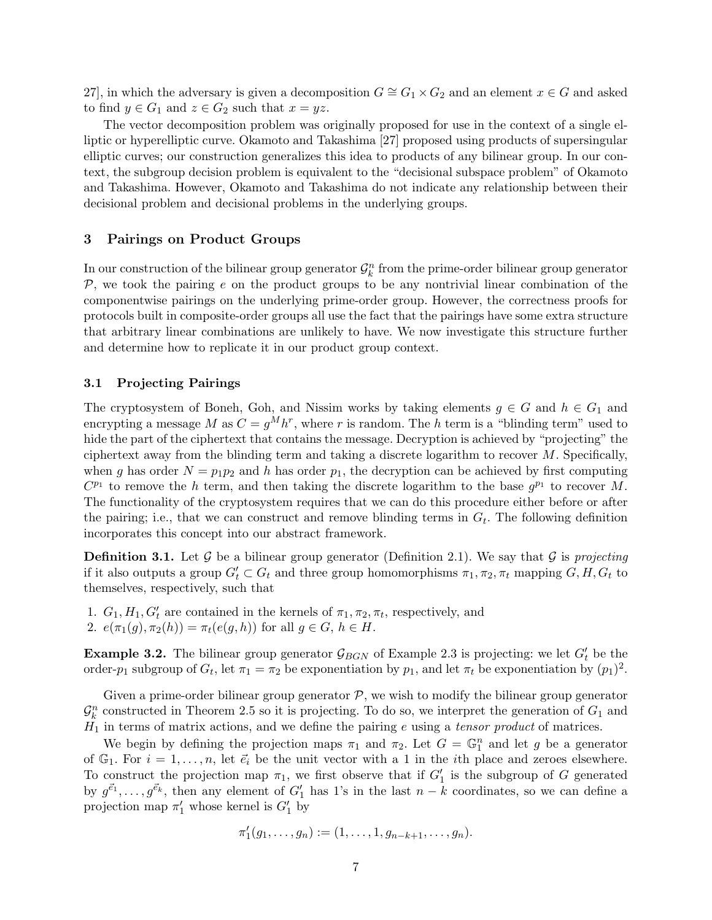27], in which the adversary is given a decomposition  $G \cong G_1 \times G_2$  and an element  $x \in G$  and asked to find  $y \in G_1$  and  $z \in G_2$  such that  $x = yz$ .

The vector decomposition problem was originally proposed for use in the context of a single elliptic or hyperelliptic curve. Okamoto and Takashima [27] proposed using products of supersingular elliptic curves; our construction generalizes this idea to products of any bilinear group. In our context, the subgroup decision problem is equivalent to the "decisional subspace problem" of Okamoto and Takashima. However, Okamoto and Takashima do not indicate any relationship between their decisional problem and decisional problems in the underlying groups.

## 3 Pairings on Product Groups

In our construction of the bilinear group generator  $\mathcal{G}_k^n$  from the prime-order bilinear group generator  $P$ , we took the pairing e on the product groups to be any nontrivial linear combination of the componentwise pairings on the underlying prime-order group. However, the correctness proofs for protocols built in composite-order groups all use the fact that the pairings have some extra structure that arbitrary linear combinations are unlikely to have. We now investigate this structure further and determine how to replicate it in our product group context.

# 3.1 Projecting Pairings

The cryptosystem of Boneh, Goh, and Nissim works by taking elements  $g \in G$  and  $h \in G_1$  and encrypting a message M as  $C = g^M h^r$ , where r is random. The h term is a "blinding term" used to hide the part of the ciphertext that contains the message. Decryption is achieved by "projecting" the ciphertext away from the blinding term and taking a discrete logarithm to recover  $M$ . Specifically, when g has order  $N = p_1p_2$  and h has order  $p_1$ , the decryption can be achieved by first computing  $C^{p_1}$  to remove the h term, and then taking the discrete logarithm to the base  $g^{p_1}$  to recover M. The functionality of the cryptosystem requires that we can do this procedure either before or after the pairing; i.e., that we can construct and remove blinding terms in  $G_t$ . The following definition incorporates this concept into our abstract framework.

**Definition 3.1.** Let G be a bilinear group generator (Definition 2.1). We say that G is projecting if it also outputs a group  $G'_t \subset G_t$  and three group homomorphisms  $\pi_1, \pi_2, \pi_t$  mapping  $G, H, G_t$  to themselves, respectively, such that

1.  $G_1, H_1, G_t'$  are contained in the kernels of  $\pi_1, \pi_2, \pi_t$ , respectively, and 2.  $e(\pi_1(g), \pi_2(h)) = \pi_t(e(g, h))$  for all  $g \in G, h \in H$ .

**Example 3.2.** The bilinear group generator  $\mathcal{G}_{BGN}$  of Example 2.3 is projecting: we let  $G'_{t}$  be the order- $p_1$  subgroup of  $G_t$ , let  $\pi_1 = \pi_2$  be exponentiation by  $p_1$ , and let  $\pi_t$  be exponentiation by  $(p_1)^2$ .

Given a prime-order bilinear group generator  $P$ , we wish to modify the bilinear group generator  $\mathcal{G}_k^n$  constructed in Theorem 2.5 so it is projecting. To do so, we interpret the generation of  $G_1$  and  $H_1$  in terms of matrix actions, and we define the pairing e using a tensor product of matrices.

We begin by defining the projection maps  $\pi_1$  and  $\pi_2$ . Let  $G = \mathbb{G}_1^n$  and let g be a generator of  $\mathbb{G}_1$ . For  $i = 1, \ldots, n$ , let  $\vec{e}_i$  be the unit vector with a 1 in the *i*th place and zeroes elsewhere. To construct the projection map  $\pi_1$ , we first observe that if  $G'_1$  is the subgroup of G generated by  $g^{\vec{e}_1}, \ldots, g^{\vec{e}_k}$ , then any element of  $G'_1$  has 1's in the last  $n - k$  coordinates, so we can define a projection map  $\pi'_1$  whose kernel is  $G'_1$  by

$$
\pi'_1(g_1,\ldots,g_n) := (1,\ldots,1,g_{n-k+1},\ldots,g_n).
$$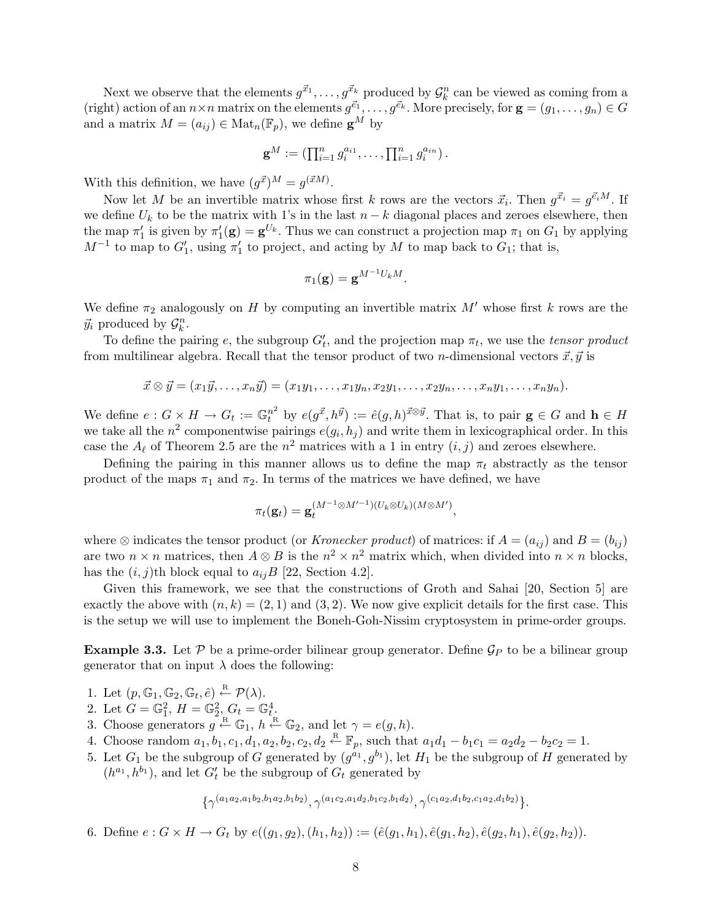Next we observe that the elements  $g^{\vec{x}_1}, \ldots, g^{\vec{x}_k}$  produced by  $\mathcal{G}_k^n$  can be viewed as coming from a (right) action of an  $n \times n$  matrix on the elements  $g^{\vec{e}_1}, \ldots, g^{\vec{e}_k}$ . More precisely, for  $\mathbf{g} = (g_1, \ldots, g_n) \in G$ and a matrix  $M = (a_{ij}) \in Mat_n(\mathbb{F}_p)$ , we define  $\mathbf{g}^M$  by

$$
\mathbf{g}^M := (\prod_{i=1}^n g_i^{a_{i1}}, \dots, \prod_{i=1}^n g_i^{a_{in}}).
$$

With this definition, we have  $(g^{\vec{x}})^M = g^{(\vec{x}M)}$ .

Now let M be an invertible matrix whose first k rows are the vectors  $\vec{x}_i$ . Then  $g^{\vec{x}_i} = g^{\vec{e}_i M}$ . If we define  $U_k$  to be the matrix with 1's in the last  $n - k$  diagonal places and zeroes elsewhere, then the map  $\pi'_1$  is given by  $\pi'_1(\mathbf{g}) = \mathbf{g}^{U_k}$ . Thus we can construct a projection map  $\pi_1$  on  $G_1$  by applying  $M^{-1}$  to map to  $G'_1$ , using  $\pi'_1$  to project, and acting by M to map back to  $G_1$ ; that is,

$$
\pi_1(\mathbf{g}) = \mathbf{g}^{M^{-1}U_k M}.
$$

We define  $\pi_2$  analogously on H by computing an invertible matrix M' whose first k rows are the  $\vec{y}_i$  produced by  $\mathcal{G}_k^n$ .

To define the pairing e, the subgroup  $G'_{t}$ , and the projection map  $\pi_{t}$ , we use the *tensor product* from multilinear algebra. Recall that the tensor product of two *n*-dimensional vectors  $\vec{x}, \vec{y}$  is

$$
\vec{x} \otimes \vec{y} = (x_1\vec{y}, \dots, x_n\vec{y}) = (x_1y_1, \dots, x_1y_n, x_2y_1, \dots, x_2y_n, \dots, x_ny_1, \dots, x_ny_n).
$$

We define  $e: G \times H \to G_t := \mathbb{G}^{n^2}_t$  by  $e(g^{\vec{x}}, h^{\vec{y}}) := \hat{e}(g, h)^{\vec{x} \otimes \vec{y}}$ . That is, to pair  $g \in G$  and  $h \in H$ we take all the  $n^2$  componentwise pairings  $e(g_i, h_j)$  and write them in lexicographical order. In this case the  $A_{\ell}$  of Theorem 2.5 are the  $n^2$  matrices with a 1 in entry  $(i, j)$  and zeroes elsewhere.

Defining the pairing in this manner allows us to define the map  $\pi_t$  abstractly as the tensor product of the maps  $\pi_1$  and  $\pi_2$ . In terms of the matrices we have defined, we have

$$
\pi_t(\mathbf{g}_t) = \mathbf{g}_t^{(M^{-1}\otimes M'^{-1})(U_k\otimes U_k)(M\otimes M')},
$$

where  $\otimes$  indicates the tensor product (or *Kronecker product*) of matrices: if  $A = (a_{ij})$  and  $B = (b_{ij})$ are two  $n \times n$  matrices, then  $A \otimes B$  is the  $n^2 \times n^2$  matrix which, when divided into  $n \times n$  blocks, has the  $(i, j)$ th block equal to  $a_{ij}B$  [22, Section 4.2].

Given this framework, we see that the constructions of Groth and Sahai [20, Section 5] are exactly the above with  $(n, k) = (2, 1)$  and  $(3, 2)$ . We now give explicit details for the first case. This is the setup we will use to implement the Boneh-Goh-Nissim cryptosystem in prime-order groups.

**Example 3.3.** Let P be a prime-order bilinear group generator. Define  $\mathcal{G}_P$  to be a bilinear group generator that on input  $\lambda$  does the following:

- 1. Let  $(p, \mathbb{G}_1, \mathbb{G}_2, \mathbb{G}_t, \hat{e}) \stackrel{\text{R}}{\leftarrow} \mathcal{P}(\lambda)$ .
- 2. Let  $G = \mathbb{G}_1^2$ ,  $H = \mathbb{G}_2^2$ ,  $G_t = \mathbb{G}_t^4$ .
- 3. Choose generators  $g \stackrel{\text{R}}{\leftarrow} \mathbb{G}_1$ ,  $h \stackrel{\text{R}}{\leftarrow} \mathbb{G}_2$ , and let  $\gamma = e(g, h)$ .
- 4. Choose random  $a_1, b_1, c_1, d_1, a_2, b_2, c_2, d_2 \stackrel{\text{R}}{\leftarrow} \mathbb{F}_p$ , such that  $a_1d_1 b_1c_1 = a_2d_2 b_2c_2 = 1$ .
- 5. Let  $G_1$  be the subgroup of G generated by  $(g^{a_1}, g^{b_1})$ , let  $H_1$  be the subgroup of H generated by  $(h^{a_1}, h^{b_1})$ , and let  $G'_t$  be the subgroup of  $G_t$  generated by

$$
\{\gamma^{(a_1a_2,a_1b_2,b_1a_2,b_1b_2)}, \gamma^{(a_1c_2,a_1d_2,b_1c_2,b_1d_2)}, \gamma^{(c_1a_2,d_1b_2,c_1a_2,d_1b_2)}\}.
$$

6. Define  $e: G \times H \to G_t$  by  $e((g_1, g_2), (h_1, h_2)) := (\hat{e}(g_1, h_1), \hat{e}(g_1, h_2), \hat{e}(g_2, h_1), \hat{e}(g_2, h_2)).$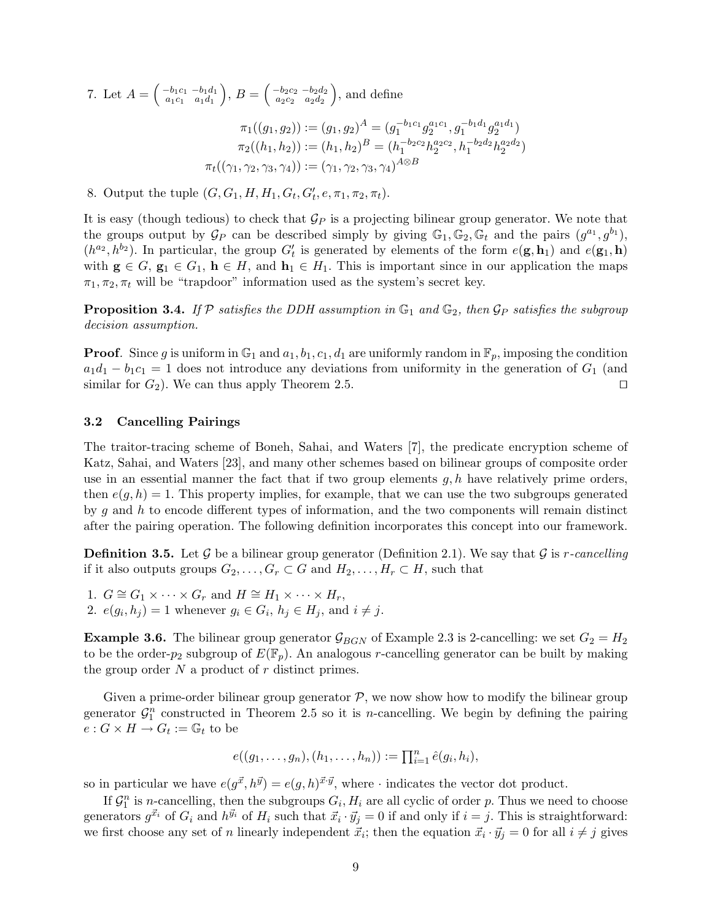7. Let  $A = \begin{pmatrix} -b_1c_1 & -b_1d_1 \\ a_1c_1 & a_1d_1 \end{pmatrix}$  $\left(\begin{smallmatrix} b_1c_1 & -b_1d_1\ a_1c_1 & a_1d_1 \end{smallmatrix}\right),\ B=\left(\begin{smallmatrix} -b_2c_2 & -b_2d_2\ a_2c_2 & a_2d_2 \end{smallmatrix}\right)$  $\left(\begin{array}{cc} -b_2c_2 & -b_2d_2 \\ a_2c_2 & a_2d_2 \end{array}\right)$ , and define

$$
\pi_1((g_1, g_2)) := (g_1, g_2)^A = (g_1^{-b_1 c_1} g_2^{a_1 c_1}, g_1^{-b_1 d_1} g_2^{a_1 d_1})
$$

$$
\pi_2((h_1, h_2)) := (h_1, h_2)^B = (h_1^{-b_2 c_2} h_2^{a_2 c_2}, h_1^{-b_2 d_2} h_2^{a_2 d_2})
$$

$$
\pi_t((\gamma_1, \gamma_2, \gamma_3, \gamma_4)) := (\gamma_1, \gamma_2, \gamma_3, \gamma_4)^{A \otimes B}
$$

8. Output the tuple  $(G, G_1, H, H_1, G_t, G'_t, e, \pi_1, \pi_2, \pi_t)$ .

It is easy (though tedious) to check that  $\mathcal{G}_P$  is a projecting bilinear group generator. We note that the groups output by  $\mathcal{G}_P$  can be described simply by giving  $\mathbb{G}_1, \mathbb{G}_2, \mathbb{G}_t$  and the pairs  $(g^{a_1}, g^{b_1}),$  $(h^{a_2}, h^{b_2})$ . In particular, the group  $G'_{t}$  is generated by elements of the form  $e(\mathbf{g}, \mathbf{h}_1)$  and  $e(\mathbf{g}_1, \mathbf{h})$ with  $g \in G$ ,  $g_1 \in G_1$ ,  $h \in H$ , and  $h_1 \in H_1$ . This is important since in our application the maps  $\pi_1, \pi_2, \pi_t$  will be "trapdoor" information used as the system's secret key.

**Proposition 3.4.** If P satisfies the DDH assumption in  $\mathbb{G}_1$  and  $\mathbb{G}_2$ , then  $\mathcal{G}_P$  satisfies the subgroup decision assumption.

**Proof.** Since g is uniform in  $\mathbb{G}_1$  and  $a_1, b_1, c_1, d_1$  are uniformly random in  $\mathbb{F}_p$ , imposing the condition  $a_1d_1 - b_1c_1 = 1$  does not introduce any deviations from uniformity in the generation of  $G_1$  (and similar for  $G_2$ ). We can thus apply Theorem 2.5.

#### 3.2 Cancelling Pairings

The traitor-tracing scheme of Boneh, Sahai, and Waters [7], the predicate encryption scheme of Katz, Sahai, and Waters [23], and many other schemes based on bilinear groups of composite order use in an essential manner the fact that if two group elements  $g, h$  have relatively prime orders, then  $e(g, h) = 1$ . This property implies, for example, that we can use the two subgroups generated by g and h to encode different types of information, and the two components will remain distinct after the pairing operation. The following definition incorporates this concept into our framework.

**Definition 3.5.** Let G be a bilinear group generator (Definition 2.1). We say that G is r-cancelling if it also outputs groups  $G_2, \ldots, G_r \subset G$  and  $H_2, \ldots, H_r \subset H$ , such that

1.  $G \cong G_1 \times \cdots \times G_r$  and  $H \cong H_1 \times \cdots \times H_r$ , 2.  $e(g_i, h_j) = 1$  whenever  $g_i \in G_i$ ,  $h_j \in H_j$ , and  $i \neq j$ .

**Example 3.6.** The bilinear group generator  $\mathcal{G}_{BGN}$  of Example 2.3 is 2-cancelling: we set  $G_2 = H_2$ to be the order- $p_2$  subgroup of  $E(\mathbb{F}_n)$ . An analogous r-cancelling generator can be built by making the group order  $N$  a product of  $r$  distinct primes.

Given a prime-order bilinear group generator  $P$ , we now show how to modify the bilinear group generator  $\mathcal{G}_1^n$  constructed in Theorem 2.5 so it is *n*-cancelling. We begin by defining the pairing  $e: G \times H \to G_t := \mathbb{G}_t$  to be

$$
e((g_1,\ldots,g_n),(h_1,\ldots,h_n)) := \prod_{i=1}^n \hat{e}(g_i,h_i),
$$

so in particular we have  $e(g^{\vec{x}}, h^{\vec{y}}) = e(g, h)^{\vec{x} \cdot \vec{y}}$ , where  $\cdot$  indicates the vector dot product.

If  $\mathcal{G}_1^n$  is n-cancelling, then the subgroups  $G_i$ ,  $H_i$  are all cyclic of order p. Thus we need to choose generators  $g^{\vec{x}_i}$  of  $G_i$  and  $h^{\vec{y}_i}$  of  $H_i$  such that  $\vec{x}_i \cdot \vec{y}_j = 0$  if and only if  $i = j$ . This is straightforward: we first choose any set of n linearly independent  $\vec{x}_i$ ; then the equation  $\vec{x}_i \cdot \vec{y}_j = 0$  for all  $i \neq j$  gives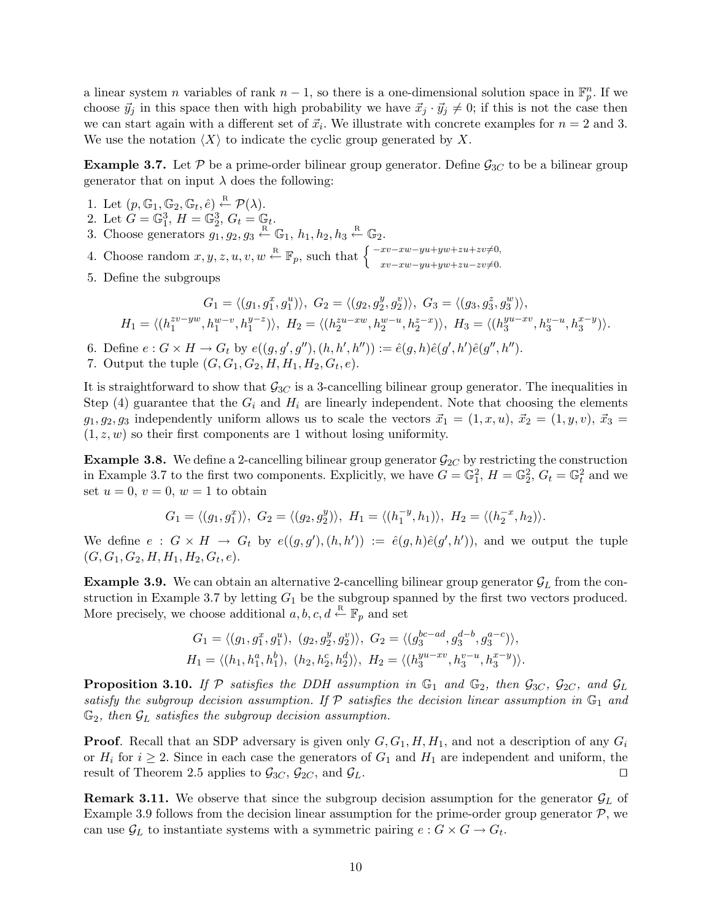a linear system *n* variables of rank  $n-1$ , so there is a one-dimensional solution space in  $\mathbb{F}_p^n$ . If we choose  $\vec{y}_j$  in this space then with high probability we have  $\vec{x}_j \cdot \vec{y}_j \neq 0$ ; if this is not the case then we can start again with a different set of  $\vec{x}_i$ . We illustrate with concrete examples for  $n = 2$  and 3. We use the notation  $\langle X \rangle$  to indicate the cyclic group generated by X.

**Example 3.7.** Let P be a prime-order bilinear group generator. Define  $\mathcal{G}_{3C}$  to be a bilinear group generator that on input  $\lambda$  does the following:

- 1. Let  $(p, \mathbb{G}_1, \mathbb{G}_2, \mathbb{G}_t, \hat{e}) \stackrel{\text{R}}{\leftarrow} \mathcal{P}(\lambda)$ .
- 2. Let  $G = \mathbb{G}_1^3$ ,  $H = \mathbb{G}_2^3$ ,  $G_t = \mathbb{G}_t$ .
- 3. Choose generators  $g_1, g_2, g_3 \stackrel{\text{R}}{\leftarrow} \mathbb{G}_1$ ,  $h_1, h_2, h_3 \stackrel{\text{R}}{\leftarrow} \mathbb{G}_2$ .

4. Choose random  $x, y, z, u, v, w \stackrel{\text{R}}{\leftarrow} \mathbb{F}_p$ , such that  $\begin{cases} \frac{-xv - xw - yu + yw + zu + zv \neq 0, \\ xv - xw - yu + yw + zu - zv \neq 0. \end{cases}$ 

5. Define the subgroups

$$
G_1 = \langle (g_1, g_1^x, g_1^u) \rangle, \ G_2 = \langle (g_2, g_2^y, g_2^v) \rangle, \ G_3 = \langle (g_3, g_3^z, g_3^w) \rangle,
$$
  

$$
H_1 = \langle (h_1^{zv-yw}, h_1^{w-v}, h_1^{y-z}) \rangle, \ H_2 = \langle (h_2^{zu-xw}, h_2^{w-u}, h_2^{z-x}) \rangle, \ H_3 = \langle (h_3^{yu-xv}, h_3^{v-u}, h_3^{x-y}) \rangle.
$$

- 6. Define  $e: G \times H \to G_t$  by  $e((g, g', g''), (h, h', h'')) := \hat{e}(g, h)\hat{e}(g', h')\hat{e}(g'', h'').$
- 7. Output the tuple  $(G, G_1, G_2, H, H_1, H_2, G_t, e)$ .

It is straightforward to show that  $\mathcal{G}_{3C}$  is a 3-cancelling bilinear group generator. The inequalities in Step (4) guarantee that the  $G_i$  and  $H_i$  are linearly independent. Note that choosing the elements  $g_1, g_2, g_3$  independently uniform allows us to scale the vectors  $\vec{x}_1 = (1, x, u), \vec{x}_2 = (1, y, v), \vec{x}_3 =$  $(1, z, w)$  so their first components are 1 without losing uniformity.

**Example 3.8.** We define a 2-cancelling bilinear group generator  $\mathcal{G}_{2C}$  by restricting the construction in Example 3.7 to the first two components. Explicitly, we have  $G = \mathbb{G}_1^2$ ,  $H = \mathbb{G}_2^2$ ,  $G_t = \mathbb{G}_t^2$  and we set  $u = 0$ ,  $v = 0$ ,  $w = 1$  to obtain

$$
G_1=\langle (g_1,g_1^x)\rangle, \ G_2=\langle (g_2,g_2^y)\rangle, \ H_1=\langle (h_1^{-y},h_1)\rangle, \ H_2=\langle (h_2^{-x},h_2)\rangle.
$$

We define  $e: G \times H \to G_t$  by  $e((g, g'), (h, h')) := \hat{e}(g, h)\hat{e}(g', h'))$ , and we output the tuple  $(G, G_1, G_2, H, H_1, H_2, G_t, e).$ 

**Example 3.9.** We can obtain an alternative 2-cancelling bilinear group generator  $\mathcal{G}_L$  from the construction in Example 3.7 by letting  $G_1$  be the subgroup spanned by the first two vectors produced. More precisely, we choose additional  $a, b, c, d \stackrel{\text{R}}{\leftarrow} \mathbb{F}_p$  and set

$$
G_1 = \langle (g_1, g_1^x, g_1^u), (g_2, g_2^y, g_2^v) \rangle, G_2 = \langle (g_3^{bc-ad}, g_3^{d-b}, g_3^{a-c}) \rangle,
$$
  

$$
H_1 = \langle (h_1, h_1^a, h_1^b), (h_2, h_2^c, h_2^d) \rangle, H_2 = \langle (h_3^{yu-xv}, h_3^{v-u}, h_3^{x-y}) \rangle.
$$

**Proposition 3.10.** If P satisfies the DDH assumption in  $\mathbb{G}_1$  and  $\mathbb{G}_2$ , then  $\mathcal{G}_{3C}$ ,  $\mathcal{G}_{2C}$ , and  $\mathcal{G}_L$ satisfy the subgroup decision assumption. If  $P$  satisfies the decision linear assumption in  $\mathbb{G}_1$  and  $\mathbb{G}_2$ , then  $\mathcal{G}_L$  satisfies the subgroup decision assumption.

**Proof.** Recall that an SDP adversary is given only  $G, G_1, H, H_1$ , and not a description of any  $G_i$ or  $H_i$  for  $i \geq 2$ . Since in each case the generators of  $G_1$  and  $H_1$  are independent and uniform, the result of Theorem 2.5 applies to  $\mathcal{G}_{3C}$ ,  $\mathcal{G}_{2C}$ , and  $\mathcal{G}_L$ .

**Remark 3.11.** We observe that since the subgroup decision assumption for the generator  $\mathcal{G}_L$  of Example 3.9 follows from the decision linear assumption for the prime-order group generator  $P$ , we can use  $\mathcal{G}_L$  to instantiate systems with a symmetric pairing  $e: G \times G \to G_t$ .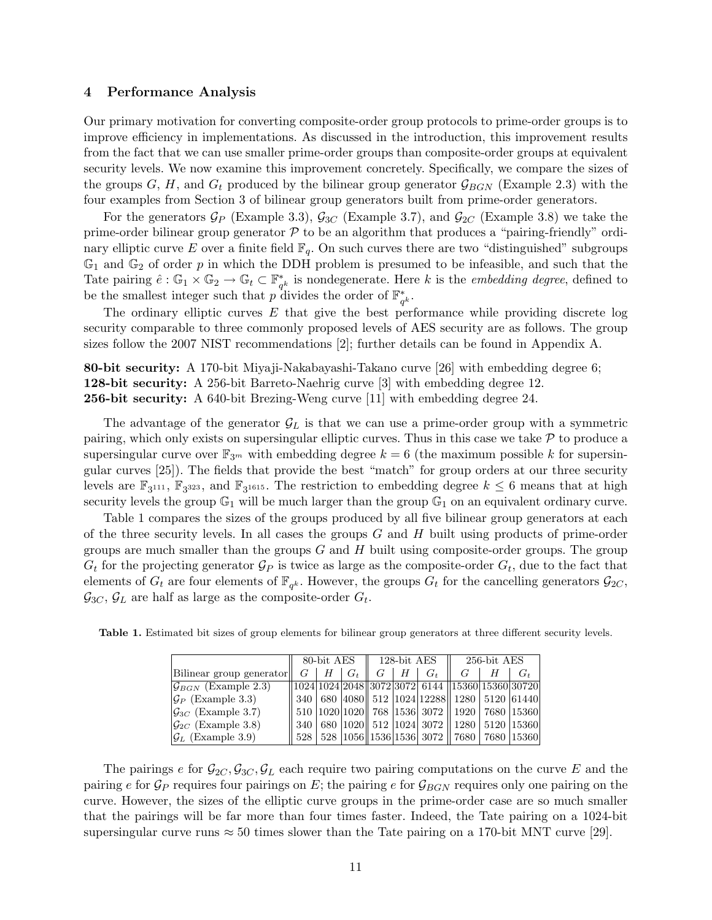### 4 Performance Analysis

Our primary motivation for converting composite-order group protocols to prime-order groups is to improve efficiency in implementations. As discussed in the introduction, this improvement results from the fact that we can use smaller prime-order groups than composite-order groups at equivalent security levels. We now examine this improvement concretely. Specifically, we compare the sizes of the groups G, H, and  $G_t$  produced by the bilinear group generator  $\mathcal{G}_{BGN}$  (Example 2.3) with the four examples from Section 3 of bilinear group generators built from prime-order generators.

For the generators  $\mathcal{G}_P$  (Example 3.3),  $\mathcal{G}_{3C}$  (Example 3.7), and  $\mathcal{G}_{2C}$  (Example 3.8) we take the prime-order bilinear group generator  $P$  to be an algorithm that produces a "pairing-friendly" ordinary elliptic curve E over a finite field  $\mathbb{F}_q$ . On such curves there are two "distinguished" subgroups  $\mathbb{G}_1$  and  $\mathbb{G}_2$  of order p in which the DDH problem is presumed to be infeasible, and such that the Tate pairing  $\hat{e} : \mathbb{G}_1 \times \mathbb{G}_2 \to \mathbb{G}_t \subset \mathbb{F}_q^*$  $_{q^k}^*$  is nondegenerate. Here k is the *embedding degree*, defined to be the smallest integer such that p divides the order of  $\mathbb{F}_q^*$  $_q^{\ast}$  .

The ordinary elliptic curves  $E$  that give the best performance while providing discrete log security comparable to three commonly proposed levels of AES security are as follows. The group sizes follow the 2007 NIST recommendations [2]; further details can be found in Appendix A.

80-bit security: A 170-bit Miyaji-Nakabayashi-Takano curve [26] with embedding degree 6; 128-bit security: A 256-bit Barreto-Naehrig curve [3] with embedding degree 12. 256-bit security: A 640-bit Brezing-Weng curve [11] with embedding degree 24.

The advantage of the generator  $\mathcal{G}_L$  is that we can use a prime-order group with a symmetric pairing, which only exists on supersingular elliptic curves. Thus in this case we take  $P$  to produce a supersingular curve over  $\mathbb{F}_{3m}$  with embedding degree  $k = 6$  (the maximum possible k for supersingular curves [25]). The fields that provide the best "match" for group orders at our three security levels are  $\mathbb{F}_3$ <sup>111</sup>,  $\mathbb{F}_3$ <sup>323</sup>, and  $\mathbb{F}_3$ <sup>1615</sup>. The restriction to embedding degree  $k \leq 6$  means that at high security levels the group  $\mathbb{G}_1$  will be much larger than the group  $\mathbb{G}_1$  on an equivalent ordinary curve.

Table 1 compares the sizes of the groups produced by all five bilinear group generators at each of the three security levels. In all cases the groups  $G$  and  $H$  built using products of prime-order groups are much smaller than the groups  $G$  and  $H$  built using composite-order groups. The group  $G_t$  for the projecting generator  $\mathcal{G}_P$  is twice as large as the composite-order  $G_t$ , due to the fact that elements of  $G_t$  are four elements of  $\mathbb{F}_{q^k}$ . However, the groups  $G_t$  for the cancelling generators  $\mathcal{G}_{2C}$ ,  $\mathcal{G}_{3C}, \mathcal{G}_L$  are half as large as the composite-order  $G_t$ .

|                                     | 80-bit AES |  |               | 128-bit AES |                   |       | 256-bit AES                                                         |  |         |
|-------------------------------------|------------|--|---------------|-------------|-------------------|-------|---------------------------------------------------------------------|--|---------|
| Bilinear group generator            | $G_{-}$    |  | $H \perp G_t$ |             | $G \perp H \perp$ | $G_t$ |                                                                     |  | $G_{t}$ |
| $ \mathcal{G}_{BGN} $ (Example 2.3) |            |  |               |             |                   |       | $\sqrt{1024 1024 2048 3072 3072 }$ 6144 $\sqrt{15360 15360 30720 }$ |  |         |
| $ \mathcal{G}_P $ (Example 3.3)     |            |  |               |             |                   |       | 340    680    4080    512    1024    12288    1280    5120    61440 |  |         |
| $ \mathcal{G}_{3C} $ (Example 3.7)  |            |  |               |             |                   |       | 510  1020 1020   768  1536  3072    1920   7680  15360              |  |         |
| $ \mathcal{G}_{2C} $ (Example 3.8)  |            |  |               |             |                   |       | 340   680  1020   512  1024  3072    1280   5120  15360             |  |         |
| $ \mathcal{G}_L $ (Example 3.9)     |            |  |               |             |                   |       | 528   528  1056  1536 1536  3072    7680   7680  15360              |  |         |

Table 1. Estimated bit sizes of group elements for bilinear group generators at three different security levels.

The pairings e for  $\mathcal{G}_{2C}, \mathcal{G}_{3C}, \mathcal{G}_L$  each require two pairing computations on the curve E and the pairing e for  $\mathcal{G}_P$  requires four pairings on E; the pairing e for  $\mathcal{G}_{BGN}$  requires only one pairing on the curve. However, the sizes of the elliptic curve groups in the prime-order case are so much smaller that the pairings will be far more than four times faster. Indeed, the Tate pairing on a 1024-bit supersingular curve runs  $\approx 50$  times slower than the Tate pairing on a 170-bit MNT curve [29].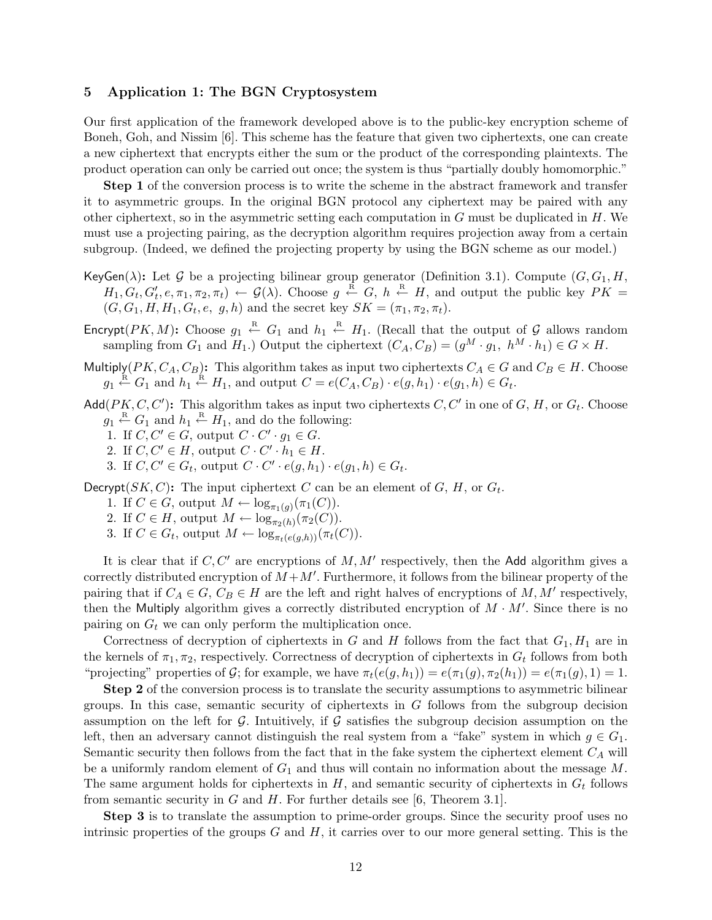# 5 Application 1: The BGN Cryptosystem

Our first application of the framework developed above is to the public-key encryption scheme of Boneh, Goh, and Nissim [6]. This scheme has the feature that given two ciphertexts, one can create a new ciphertext that encrypts either the sum or the product of the corresponding plaintexts. The product operation can only be carried out once; the system is thus "partially doubly homomorphic."

Step 1 of the conversion process is to write the scheme in the abstract framework and transfer it to asymmetric groups. In the original BGN protocol any ciphertext may be paired with any other ciphertext, so in the asymmetric setting each computation in  $G$  must be duplicated in  $H$ . We must use a projecting pairing, as the decryption algorithm requires projection away from a certain subgroup. (Indeed, we defined the projecting property by using the BGN scheme as our model.)

- KeyGen( $\lambda$ ): Let G be a projecting bilinear group generator (Definition 3.1). Compute  $(G, G_1, H, H)$  $H_1, G_t, G'_t, e, \pi_1, \pi_2, \pi_t) \leftarrow \mathcal{G}(\lambda)$ . Choose  $g \stackrel{\text{R}}{\leftarrow} G, h \stackrel{\text{R}}{\leftarrow} H$ , and output the public key  $PK =$  $(G, G_1, H, H_1, G_t, e, g, h)$  and the secret key  $SK = (\pi_1, \pi_2, \pi_t)$ .
- Encrypt( $PK, M$ ): Choose  $g_1 \stackrel{R}{\leftarrow} G_1$  and  $h_1 \stackrel{R}{\leftarrow} H_1$ . (Recall that the output of G allows random sampling from  $G_1$  and  $H_1$ .) Output the ciphertext  $(C_A, C_B) = (g^M \cdot g_1, h^M \cdot h_1) \in G \times H$ .
- Multiply( $PK, C_A, C_B$ ): This algorithm takes as input two ciphertexts  $C_A \in G$  and  $C_B \in H$ . Choose  $g_1 \stackrel{\text{R}}{\leftarrow} G_1$  and  $h_1 \stackrel{\text{R}}{\leftarrow} H_1$ , and output  $C = e(C_A, C_B) \cdot e(g, h_1) \cdot e(g_1, h) \in G_t$ .
- Add( $PK, C, C'$ ): This algorithm takes as input two ciphertexts  $C, C'$  in one of  $G, H$ , or  $G_t$ . Choose  $g_1 \stackrel{\text{R}}{\leftarrow} G_1$  and  $h_1 \stackrel{\text{R}}{\leftarrow} H_1$ , and do the following:
	- 1. If  $C, C' \in G$ , output  $C \cdot C' \cdot g_1 \in G$ .
	- 2. If  $C, C' \in H$ , output  $C \cdot C' \cdot h_1 \in H$ .
	- 3. If  $C, C' \in G_t$ , output  $C \cdot C' \cdot e(g, h_1) \cdot e(g_1, h) \in G_t$ .

Decrypt( $SK, C$ ): The input ciphertext C can be an element of G, H, or  $G_t$ .

- 1. If  $C \in G$ , output  $M \leftarrow \log_{\pi_1(g)}(\pi_1(C)).$
- 2. If  $C \in H$ , output  $M \leftarrow \log_{\pi_2(h)}(\pi_2(C))$ .
- 3. If  $C \in G_t$ , output  $M \leftarrow \log_{\pi_t(e(g,h))}(\pi_t(C)).$

It is clear that if  $C, C'$  are encryptions of  $M, M'$  respectively, then the Add algorithm gives a correctly distributed encryption of  $M + M'$ . Furthermore, it follows from the bilinear property of the pairing that if  $C_A \in G$ ,  $C_B \in H$  are the left and right halves of encryptions of M, M' respectively, then the Multiply algorithm gives a correctly distributed encryption of  $M \cdot M'$ . Since there is no pairing on  $G_t$  we can only perform the multiplication once.

Correctness of decryption of ciphertexts in G and H follows from the fact that  $G_1, H_1$  are in the kernels of  $\pi_1, \pi_2$ , respectively. Correctness of decryption of ciphertexts in  $G_t$  follows from both "projecting" properties of G; for example, we have  $\pi_t(e(g, h_1)) = e(\pi_1(g), \pi_2(h_1)) = e(\pi_1(g), 1) = 1$ .

Step 2 of the conversion process is to translate the security assumptions to asymmetric bilinear groups. In this case, semantic security of ciphertexts in  $G$  follows from the subgroup decision assumption on the left for  $G$ . Intuitively, if  $G$  satisfies the subgroup decision assumption on the left, then an adversary cannot distinguish the real system from a "fake" system in which  $q \in G_1$ . Semantic security then follows from the fact that in the fake system the ciphertext element  $C_A$  will be a uniformly random element of  $G_1$  and thus will contain no information about the message M. The same argument holds for ciphertexts in  $H$ , and semantic security of ciphertexts in  $G_t$  follows from semantic security in  $G$  and  $H$ . For further details see [6, Theorem 3.1].

Step 3 is to translate the assumption to prime-order groups. Since the security proof uses no intrinsic properties of the groups  $G$  and  $H$ , it carries over to our more general setting. This is the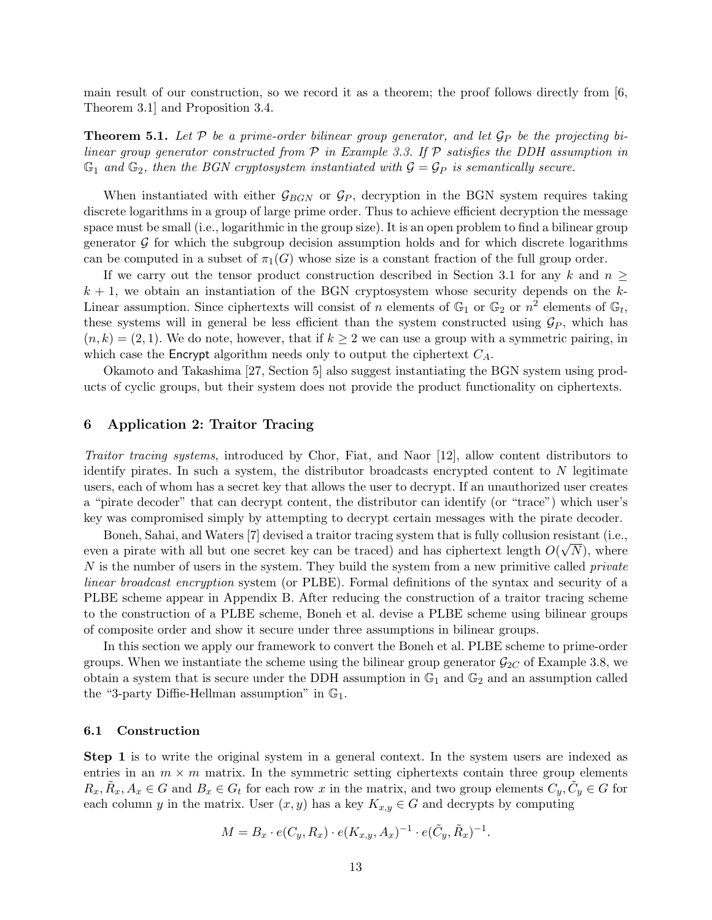main result of our construction, so we record it as a theorem; the proof follows directly from  $\left[6, \right]$ Theorem 3.1] and Proposition 3.4.

**Theorem 5.1.** Let P be a prime-order bilinear group generator, and let  $\mathcal{G}_P$  be the projecting bilinear group generator constructed from  $P$  in Example 3.3. If  $P$  satisfies the DDH assumption in  $\mathbb{G}_1$  and  $\mathbb{G}_2$ , then the BGN cryptosystem instantiated with  $\mathcal{G} = \mathcal{G}_P$  is semantically secure.

When instantiated with either  $\mathcal{G}_{BGN}$  or  $\mathcal{G}_P$ , decryption in the BGN system requires taking discrete logarithms in a group of large prime order. Thus to achieve efficient decryption the message space must be small (i.e., logarithmic in the group size). It is an open problem to find a bilinear group generator  $\mathcal G$  for which the subgroup decision assumption holds and for which discrete logarithms can be computed in a subset of  $\pi_1(G)$  whose size is a constant fraction of the full group order.

If we carry out the tensor product construction described in Section 3.1 for any k and  $n \geq$  $k + 1$ , we obtain an instantiation of the BGN cryptosystem whose security depends on the k-Linear assumption. Since ciphertexts will consist of n elements of  $\mathbb{G}_1$  or  $\mathbb{G}_2$  or  $n^2$  elements of  $\mathbb{G}_t$ , these systems will in general be less efficient than the system constructed using  $\mathcal{G}_P$ , which has  $(n, k) = (2, 1)$ . We do note, however, that if  $k \geq 2$  we can use a group with a symmetric pairing, in which case the Encrypt algorithm needs only to output the ciphertext  $C_A$ .

Okamoto and Takashima [27, Section 5] also suggest instantiating the BGN system using products of cyclic groups, but their system does not provide the product functionality on ciphertexts.

# 6 Application 2: Traitor Tracing

Traitor tracing systems, introduced by Chor, Fiat, and Naor [12], allow content distributors to identify pirates. In such a system, the distributor broadcasts encrypted content to  $N$  legitimate users, each of whom has a secret key that allows the user to decrypt. If an unauthorized user creates a "pirate decoder" that can decrypt content, the distributor can identify (or "trace") which user's key was compromised simply by attempting to decrypt certain messages with the pirate decoder.

Boneh, Sahai, and Waters [7] devised a traitor tracing system that is fully collusion resistant (i.e., √ even a pirate with all but one secret key can be traced) and has ciphertext length  $O(\sqrt{N})$ , where N is the number of users in the system. They build the system from a new primitive called *private* linear broadcast encryption system (or PLBE). Formal definitions of the syntax and security of a PLBE scheme appear in Appendix B. After reducing the construction of a traitor tracing scheme to the construction of a PLBE scheme, Boneh et al. devise a PLBE scheme using bilinear groups of composite order and show it secure under three assumptions in bilinear groups.

In this section we apply our framework to convert the Boneh et al. PLBE scheme to prime-order groups. When we instantiate the scheme using the bilinear group generator  $\mathcal{G}_{2C}$  of Example 3.8, we obtain a system that is secure under the DDH assumption in  $\mathbb{G}_1$  and  $\mathbb{G}_2$  and an assumption called the "3-party Diffie-Hellman assumption" in  $\mathbb{G}_1$ .

#### 6.1 Construction

**Step 1** is to write the original system in a general context. In the system users are indexed as entries in an  $m \times m$  matrix. In the symmetric setting ciphertexts contain three group elements  $R_x, \tilde{R}_x, A_x \in G$  and  $B_x \in G_t$  for each row x in the matrix, and two group elements  $C_y, \tilde{C}_y \in G$  for each column y in the matrix. User  $(x, y)$  has a key  $K_{x,y} \in G$  and decrypts by computing

$$
M = B_x \cdot e(C_y, R_x) \cdot e(K_{x,y}, A_x)^{-1} \cdot e(\tilde{C}_y, \tilde{R}_x)^{-1}.
$$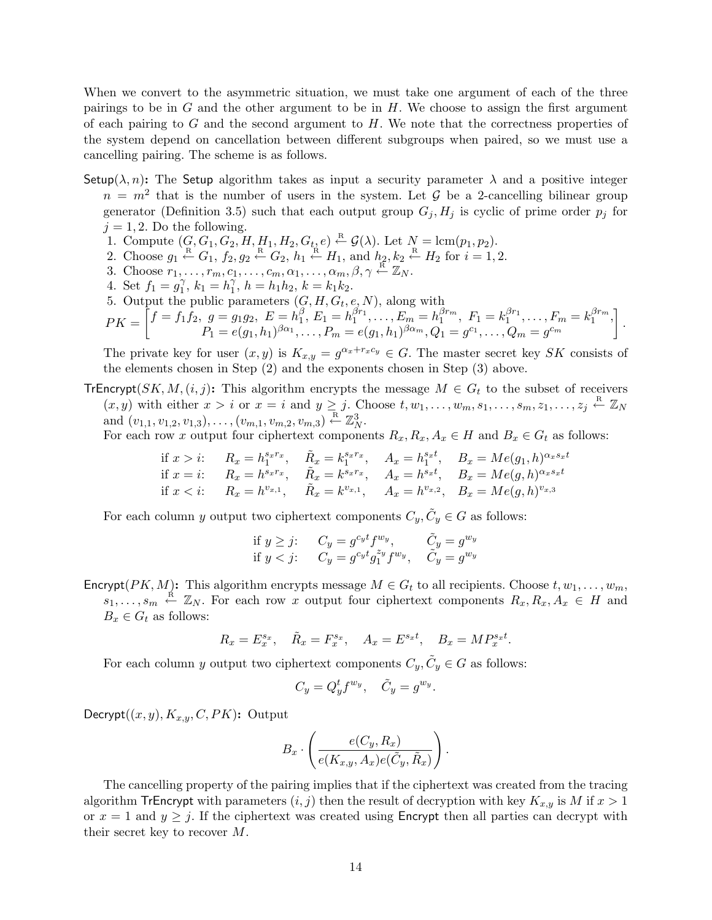When we convert to the asymmetric situation, we must take one argument of each of the three pairings to be in  $G$  and the other argument to be in  $H$ . We choose to assign the first argument of each pairing to  $G$  and the second argument to  $H$ . We note that the correctness properties of the system depend on cancellation between different subgroups when paired, so we must use a cancelling pairing. The scheme is as follows.

- Setup( $\lambda$ , n): The Setup algorithm takes as input a security parameter  $\lambda$  and a positive integer  $n = m<sup>2</sup>$  that is the number of users in the system. Let G be a 2-cancelling bilinear group generator (Definition 3.5) such that each output group  $G_i, H_j$  is cyclic of prime order  $p_j$  for  $j = 1, 2$ . Do the following.
	- 1. Compute  $(G, G_1, G_2, H, H_1, H_2, G_t, e) \stackrel{\text{R}}{\leftarrow} \mathcal{G}(\lambda)$ . Let  $N = \text{lcm}(p_1, p_2)$ .
	- 2. Choose  $g_1 \stackrel{\text{R}}{\leftarrow} G_1$ ,  $f_2, g_2 \stackrel{\text{R}}{\leftarrow} G_2$ ,  $h_1 \stackrel{\text{R}}{\leftarrow} H_1$ , and  $h_2, k_2 \stackrel{\text{R}}{\leftarrow} H_2$  for  $i = 1, 2$ .
	- 3. Choose  $r_1, \ldots, r_m, c_1, \ldots, c_m, \alpha_1, \ldots, \alpha_m, \beta, \gamma \stackrel{\text{R}}{\leftarrow} \mathbb{Z}_N$ .
	- 4. Set  $f_1 = g_1^{\gamma}$ ,  $k_1 = h_1^{\gamma}$ ,  $h = h_1 h_2$ ,  $k = k_1 k_2$ .
	- 5. Output the public parameters  $(G, H, G_t, e, N)$ , along with

$$
PK = \begin{bmatrix} f = f_1 \hat{f}_2, \ g = g_1 g_2, \ E = h_1^{\beta}, E_1 = h_1^{\beta r_1}, \dots, E_m = h_1^{\beta r_m}, \ F_1 = k_1^{\beta r_1}, \dots, F_m = k_1^{\beta r_m}, \\ P_1 = e(g_1, h_1)^{\beta \alpha_1}, \dots, P_m = e(g_1, h_1)^{\beta \alpha_m}, Q_1 = g^{c_1}, \dots, Q_m = g^{c_m} \end{bmatrix}.
$$

The private key for user  $(x, y)$  is  $K_{x,y} = g^{\alpha_x + r_x c_y} \in G$ . The master secret key SK consists of the elements chosen in Step (2) and the exponents chosen in Step (3) above.

TrEncrypt(SK, M,  $(i, j)$ : This algorithm encrypts the message  $M \in G_t$  to the subset of receivers  $(x, y)$  with either  $x > i$  or  $x = i$  and  $y \geq j$ . Choose  $t, w_1, \ldots, w_m, s_1, \ldots, s_m, z_1, \ldots, z_j \stackrel{\text{R}}{\leftarrow} \mathbb{Z}_N$ and  $(v_{1,1}, v_{1,2}, v_{1,3}), \ldots, (v_{m,1}, v_{m,2}, v_{m,3}) \stackrel{\text{R}}{\leftarrow} \mathbb{Z}_N^3$ .

For each row x output four ciphertext components  $R_x, R_x, A_x \in H$  and  $B_x \in G_t$  as follows:

if 
$$
x > i
$$
:  $R_x = h_1^{s_x r_x}$ ,  $\tilde{R}_x = k_1^{s_x r_x}$ ,  $A_x = h_1^{s_x t}$ ,  $B_x = Me(g_1, h)^{\alpha_x s_x t}$   
if  $x = i$ :  $R_x = h^{s_x r_x}$ ,  $\tilde{R}_x = k^{s_x r_x}$ ,  $A_x = h^{s_x t}$ ,  $B_x = Me(g, h)^{\alpha_x s_x t}$   
if  $x < i$ :  $R_x = h^{v_{x,1}}$ ,  $\tilde{R}_x = k^{v_{x,1}}$ ,  $A_x = h^{v_{x,2}}$ ,  $B_x = Me(g, h)^{v_{x,3}}$ 

For each column y output two ciphertext components  $C_y, \tilde{C}_y \in G$  as follows:

$$
\begin{array}{ll}\n\text{if } y \geq j: & C_y = g^{c_y t} f^{w_y}, & \tilde{C}_y = g^{w_y} \\
\text{if } y < j: & C_y = g^{c_y t} g_1^{z_y} f^{w_y}, & \tilde{C}_y = g^{w_y}\n\end{array}
$$

Encrypt( $PK, M$ ): This algorithm encrypts message  $M \in G_t$  to all recipients. Choose  $t, w_1, \ldots, w_m$ ,  $s_1, \ldots, s_m \stackrel{\text{R}}{\leftarrow} \mathbb{Z}_N$ . For each row x output four ciphertext components  $R_x, R_x, A_x \in H$  and  $B_x \in G_t$  as follows:

$$
R_x = E_x^{s_x}, \quad \tilde{R}_x = F_x^{s_x}, \quad A_x = E^{s_x t}, \quad B_x = M P_x^{s_x t}.
$$

For each column y output two ciphertext components  $C_y, \tilde{C}_y \in G$  as follows:

$$
C_y = Q_y^t f^{w_y}, \quad \tilde{C}_y = g^{w_y}.
$$

Decrypt $((x, y), K_{x,y}, C, PK)$ : Output

$$
B_x \cdot \left(\frac{e(C_y, R_x)}{e(K_{x,y}, A_x)e(\tilde{C}_y, \tilde{R}_x)}\right).
$$

The cancelling property of the pairing implies that if the ciphertext was created from the tracing algorithm TrEncrypt with parameters  $(i, j)$  then the result of decryption with key  $K_{x,y}$  is M if  $x > 1$ or  $x = 1$  and  $y \geq j$ . If the ciphertext was created using Encrypt then all parties can decrypt with their secret key to recover M.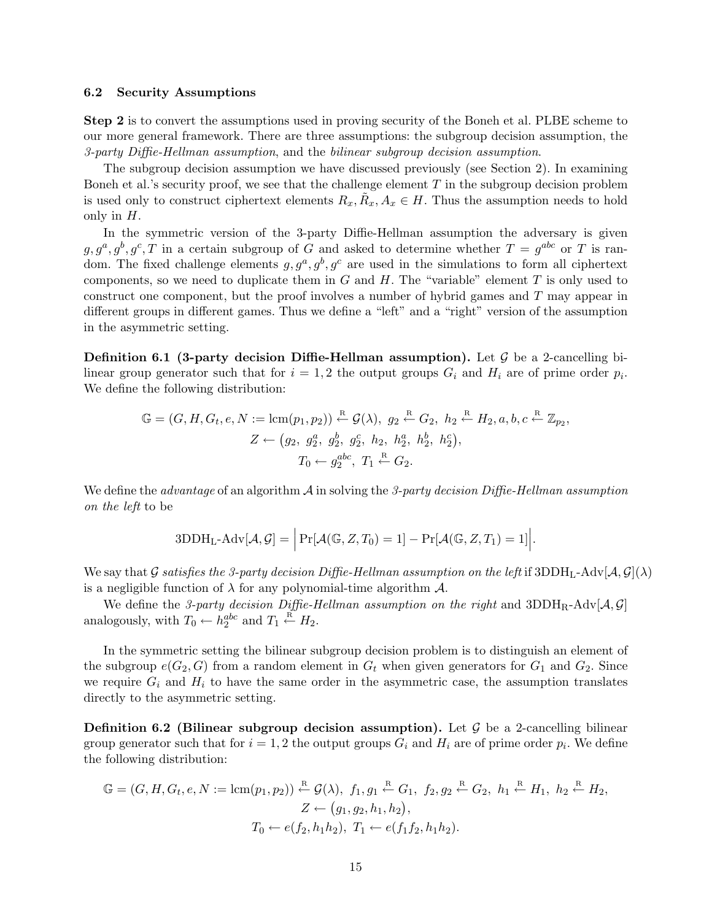#### 6.2 Security Assumptions

Step 2 is to convert the assumptions used in proving security of the Boneh et al. PLBE scheme to our more general framework. There are three assumptions: the subgroup decision assumption, the 3-party Diffie-Hellman assumption, and the bilinear subgroup decision assumption.

The subgroup decision assumption we have discussed previously (see Section 2). In examining Boneh et al.'s security proof, we see that the challenge element  $T$  in the subgroup decision problem is used only to construct ciphertext elements  $R_x, \tilde{R}_x, A_x \in H$ . Thus the assumption needs to hold only in  $H$ .

In the symmetric version of the 3-party Diffie-Hellman assumption the adversary is given  $g, g^a, g^b, g^c, T$  in a certain subgroup of G and asked to determine whether  $T = g^{abc}$  or T is random. The fixed challenge elements  $g, g^a, g^b, g^c$  are used in the simulations to form all ciphertext components, so we need to duplicate them in  $G$  and  $H$ . The "variable" element  $T$  is only used to construct one component, but the proof involves a number of hybrid games and T may appear in different groups in different games. Thus we define a "left" and a "right" version of the assumption in the asymmetric setting.

**Definition 6.1 (3-party decision Diffie-Hellman assumption).** Let  $\mathcal{G}$  be a 2-cancelling bilinear group generator such that for  $i = 1, 2$  the output groups  $G_i$  and  $H_i$  are of prime order  $p_i$ . We define the following distribution:

$$
\mathbb{G} = (G, H, G_t, e, N := \text{lcm}(p_1, p_2)) \stackrel{\text{R}}{\leftarrow} \mathcal{G}(\lambda), \ g_2 \stackrel{\text{R}}{\leftarrow} G_2, \ h_2 \stackrel{\text{R}}{\leftarrow} H_2, a, b, c \stackrel{\text{R}}{\leftarrow} \mathbb{Z}_{p_2},
$$

$$
Z \leftarrow (g_2, g_2^a, g_2^b, g_2^c, h_2, h_2^a, h_2^b, h_2^c),
$$

$$
T_0 \leftarrow g_2^{abc}, \ T_1 \stackrel{\text{R}}{\leftarrow} G_2.
$$

We define the *advantage* of an algorithm  $\mathcal A$  in solving the 3-party decision Diffie-Hellman assumption on the left to be

$$
3DDH_{L-}Adv[\mathcal{A}, \mathcal{G}] = \left| \Pr[\mathcal{A}(\mathbb{G}, Z, T_0) = 1] - \Pr[\mathcal{A}(\mathbb{G}, Z, T_1) = 1] \right|.
$$

We say that G satisfies the 3-party decision Diffie-Hellman assumption on the left if 3DDH<sub>L</sub>-Adv[ $\mathcal{A}, \mathcal{G}(\lambda)$ ] is a negligible function of  $\lambda$  for any polynomial-time algorithm  $\mathcal{A}$ .

We define the 3-party decision Diffie-Hellman assumption on the right and 3DDH<sub>R</sub>-Adv[ $A, G$ ] analogously, with  $T_0 \leftarrow h_2^{abc}$  and  $T_1 \stackrel{\text{R}}{\leftarrow} H_2$ .

In the symmetric setting the bilinear subgroup decision problem is to distinguish an element of the subgroup  $e(G_2, G)$  from a random element in  $G_t$  when given generators for  $G_1$  and  $G_2$ . Since we require  $G_i$  and  $H_i$  to have the same order in the asymmetric case, the assumption translates directly to the asymmetric setting.

**Definition 6.2 (Bilinear subgroup decision assumption).** Let  $\mathcal G$  be a 2-cancelling bilinear group generator such that for  $i = 1, 2$  the output groups  $G_i$  and  $H_i$  are of prime order  $p_i$ . We define the following distribution:

$$
\mathbb{G} = (G, H, G_t, e, N := \text{lcm}(p_1, p_2)) \stackrel{\text{R}}{\leftarrow} \mathcal{G}(\lambda), f_1, g_1 \stackrel{\text{R}}{\leftarrow} G_1, f_2, g_2 \stackrel{\text{R}}{\leftarrow} G_2, h_1 \stackrel{\text{R}}{\leftarrow} H_1, h_2 \stackrel{\text{R}}{\leftarrow} H_2, Z \leftarrow (g_1, g_2, h_1, h_2), T_0 \leftarrow e(f_2, h_1 h_2), T_1 \leftarrow e(f_1 f_2, h_1 h_2).
$$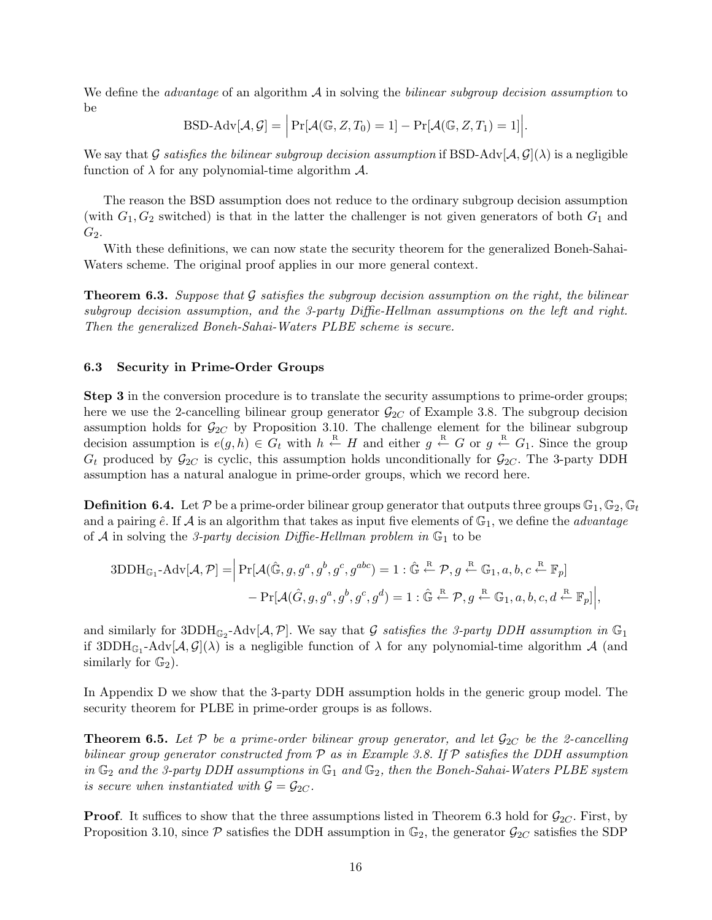We define the *advantage* of an algorithm  $\mathcal A$  in solving the *bilinear subgroup decision assumption* to be

$$
\text{BSD-Adv}[\mathcal{A}, \mathcal{G}] = \Big|\Pr[\mathcal{A}(\mathbb{G}, Z, T_0) = 1] - \Pr[\mathcal{A}(\mathbb{G}, Z, T_1) = 1]\Big|.
$$

We say that G satisfies the bilinear subgroup decision assumption if BSD-Adv[ $\mathcal{A}, \mathcal{G}(\lambda)$  is a negligible function of  $\lambda$  for any polynomial-time algorithm  $\mathcal{A}$ .

The reason the BSD assumption does not reduce to the ordinary subgroup decision assumption (with  $G_1, G_2$  switched) is that in the latter the challenger is not given generators of both  $G_1$  and  $G_2$ .

With these definitions, we can now state the security theorem for the generalized Boneh-Sahai-Waters scheme. The original proof applies in our more general context.

**Theorem 6.3.** Suppose that  $\mathcal G$  satisfies the subgroup decision assumption on the right, the bilinear subgroup decision assumption, and the 3-party Diffie-Hellman assumptions on the left and right. Then the generalized Boneh-Sahai-Waters PLBE scheme is secure.

#### 6.3 Security in Prime-Order Groups

Step 3 in the conversion procedure is to translate the security assumptions to prime-order groups; here we use the 2-cancelling bilinear group generator  $\mathcal{G}_{2C}$  of Example 3.8. The subgroup decision assumption holds for  $\mathcal{G}_{2C}$  by Proposition 3.10. The challenge element for the bilinear subgroup decision assumption is  $e(g, h) \in G_t$  with  $h \stackrel{R}{\leftarrow} H$  and either  $g \stackrel{R}{\leftarrow} G$  or  $g \stackrel{R}{\leftarrow} G_1$ . Since the group  $G_t$  produced by  $\mathcal{G}_{2C}$  is cyclic, this assumption holds unconditionally for  $\mathcal{G}_{2C}$ . The 3-party DDH assumption has a natural analogue in prime-order groups, which we record here.

**Definition 6.4.** Let P be a prime-order bilinear group generator that outputs three groups  $\mathbb{G}_1, \mathbb{G}_2, \mathbb{G}_t$ and a pairing  $\hat{e}$ . If  $\hat{A}$  is an algorithm that takes as input five elements of  $\mathbb{G}_1$ , we define the *advantage* of A in solving the 3-party decision Diffie-Hellman problem in  $\mathbb{G}_1$  to be

$$
3DDH_{\mathbb{G}_1} - \text{Adv}[\mathcal{A}, \mathcal{P}] = \left| \Pr[\mathcal{A}(\hat{\mathbb{G}}, g, g^a, g^b, g^c, g^{abc}) = 1 : \hat{\mathbb{G}} \stackrel{\text{R}}{\leftarrow} \mathcal{P}, g \stackrel{\text{R}}{\leftarrow} \mathbb{G}_1, a, b, c \stackrel{\text{R}}{\leftarrow} \mathbb{F}_p] \right. \\ - \Pr[\mathcal{A}(\hat{G}, g, g^a, g^b, g^c, g^d) = 1 : \hat{\mathbb{G}} \stackrel{\text{R}}{\leftarrow} \mathcal{P}, g \stackrel{\text{R}}{\leftarrow} \mathbb{G}_1, a, b, c, d \stackrel{\text{R}}{\leftarrow} \mathbb{F}_p] \right|,
$$

and similarly for 3DDH<sub> $\mathbb{G}_2$ -Adv[ $\mathcal{A}, \mathcal{P}$ ]. We say that G satisfies the 3-party DDH assumption in  $\mathbb{G}_1$ </sub> if  $3DDH_{\mathbb{G}_1}$ -Adv $[\mathcal{A},\mathcal{G}](\lambda)$  is a negligible function of  $\lambda$  for any polynomial-time algorithm  $\mathcal{A}$  (and similarly for  $\mathbb{G}_2$ ).

In Appendix D we show that the 3-party DDH assumption holds in the generic group model. The security theorem for PLBE in prime-order groups is as follows.

**Theorem 6.5.** Let P be a prime-order bilinear group generator, and let  $\mathcal{G}_{2C}$  be the 2-cancelling bilinear group generator constructed from  $P$  as in Example 3.8. If  $P$  satisfies the DDH assumption in  $\mathbb{G}_2$  and the 3-party DDH assumptions in  $\mathbb{G}_1$  and  $\mathbb{G}_2$ , then the Boneh-Sahai-Waters PLBE system is secure when instantiated with  $\mathcal{G} = \mathcal{G}_{2C}$ .

**Proof.** It suffices to show that the three assumptions listed in Theorem 6.3 hold for  $\mathcal{G}_{2C}$ . First, by Proposition 3.10, since  $P$  satisfies the DDH assumption in  $\mathbb{G}_2$ , the generator  $\mathcal{G}_{2C}$  satisfies the SDP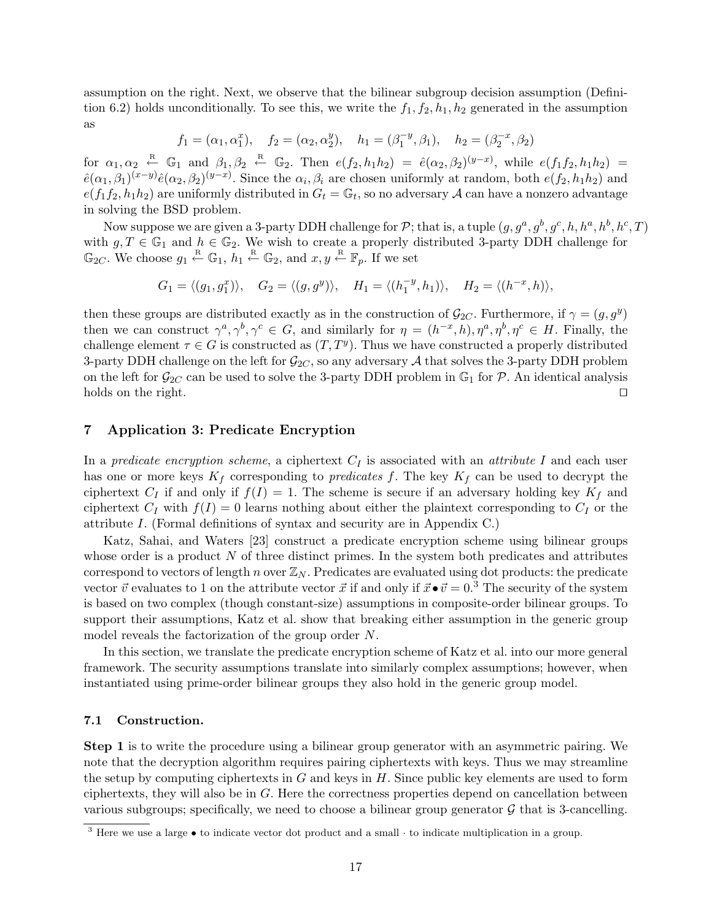assumption on the right. Next, we observe that the bilinear subgroup decision assumption (Definition 6.2) holds unconditionally. To see this, we write the  $f_1, f_2, h_1, h_2$  generated in the assumption as

$$
f_1 = (\alpha_1, \alpha_1^x), \quad f_2 = (\alpha_2, \alpha_2^y), \quad h_1 = (\beta_1^{-y}, \beta_1), \quad h_2 = (\beta_2^{-x}, \beta_2)
$$

for  $\alpha_1, \alpha_2 \stackrel{\text{R}}{\leftarrow} \mathbb{G}_1$  and  $\beta_1, \beta_2 \stackrel{\text{R}}{\leftarrow} \mathbb{G}_2$ . Then  $e(f_2, h_1h_2) = \hat{e}(\alpha_2, \beta_2)^{(y-x)}$ , while  $e(f_1f_2, h_1h_2) =$  $\hat{e}(\alpha_1,\beta_1)^{(x-y)}\hat{e}(\alpha_2,\beta_2)^{(y-x)}$ . Since the  $\alpha_i,\beta_i$  are chosen uniformly at random, both  $e(f_2,h_1h_2)$  and  $e(f_1f_2, h_1h_2)$  are uniformly distributed in  $G_t = \mathbb{G}_t$ , so no adversary  $\mathcal A$  can have a nonzero advantage in solving the BSD problem.

Now suppose we are given a 3-party DDH challenge for P; that is, a tuple  $(g, g^a, g^b, g^c, h, h^a, h^b, h^c, T)$ with  $g, T \in \mathbb{G}_1$  and  $h \in \mathbb{G}_2$ . We wish to create a properly distributed 3-party DDH challenge for  $\mathbb{G}_{2C}$ . We choose  $g_1 \stackrel{\text{R}}{\leftarrow} \mathbb{G}_1$ ,  $h_1 \stackrel{\text{R}}{\leftarrow} \mathbb{G}_2$ , and  $x, y \stackrel{\text{R}}{\leftarrow} \mathbb{F}_p$ . If we set

$$
G_1 = \langle (g_1, g_1^x) \rangle, \quad G_2 = \langle (g, g^y) \rangle, \quad H_1 = \langle (h_1^{-y}, h_1) \rangle, \quad H_2 = \langle (h^{-x}, h) \rangle,
$$

then these groups are distributed exactly as in the construction of  $\mathcal{G}_{2C}$ . Furthermore, if  $\gamma = (g, g^y)$ then we can construct  $\gamma^a, \gamma^b, \gamma^c \in G$ , and similarly for  $\eta = (h^{-x}, h), \eta^a, \eta^b, \eta^c \in H$ . Finally, the challenge element  $\tau \in G$  is constructed as  $(T, T^y)$ . Thus we have constructed a properly distributed 3-party DDH challenge on the left for  $\mathcal{G}_{2C}$ , so any adversary A that solves the 3-party DDH problem on the left for  $\mathcal{G}_{2C}$  can be used to solve the 3-party DDH problem in  $\mathbb{G}_1$  for  $\mathcal{P}$ . An identical analysis holds on the right.  $\square$ 

# 7 Application 3: Predicate Encryption

In a predicate encryption scheme, a ciphertext  $C_I$  is associated with an *attribute I* and each user has one or more keys  $K_f$  corresponding to *predicates* f. The key  $K_f$  can be used to decrypt the ciphertext  $C_I$  if and only if  $f(I) = 1$ . The scheme is secure if an adversary holding key  $K_f$  and ciphertext  $C_I$  with  $f(I) = 0$  learns nothing about either the plaintext corresponding to  $C_I$  or the attribute I. (Formal definitions of syntax and security are in Appendix C.)

Katz, Sahai, and Waters [23] construct a predicate encryption scheme using bilinear groups whose order is a product  $N$  of three distinct primes. In the system both predicates and attributes correspond to vectors of length n over  $\mathbb{Z}_N$ . Predicates are evaluated using dot products: the predicate vector  $\vec{v}$  evaluates to 1 on the attribute vector  $\vec{x}$  if and only if  $\vec{x} \cdot \vec{v} = 0.3$  The security of the system is based on two complex (though constant-size) assumptions in composite-order bilinear groups. To support their assumptions, Katz et al. show that breaking either assumption in the generic group model reveals the factorization of the group order N.

In this section, we translate the predicate encryption scheme of Katz et al. into our more general framework. The security assumptions translate into similarly complex assumptions; however, when instantiated using prime-order bilinear groups they also hold in the generic group model.

# 7.1 Construction.

Step 1 is to write the procedure using a bilinear group generator with an asymmetric pairing. We note that the decryption algorithm requires pairing ciphertexts with keys. Thus we may streamline the setup by computing ciphertexts in  $G$  and keys in  $H$ . Since public key elements are used to form ciphertexts, they will also be in G. Here the correctness properties depend on cancellation between various subgroups; specifically, we need to choose a bilinear group generator  $\mathcal G$  that is 3-cancelling.

 $\frac{3}{3}$  Here we use a large  $\bullet$  to indicate vector dot product and a small  $\cdot$  to indicate multiplication in a group.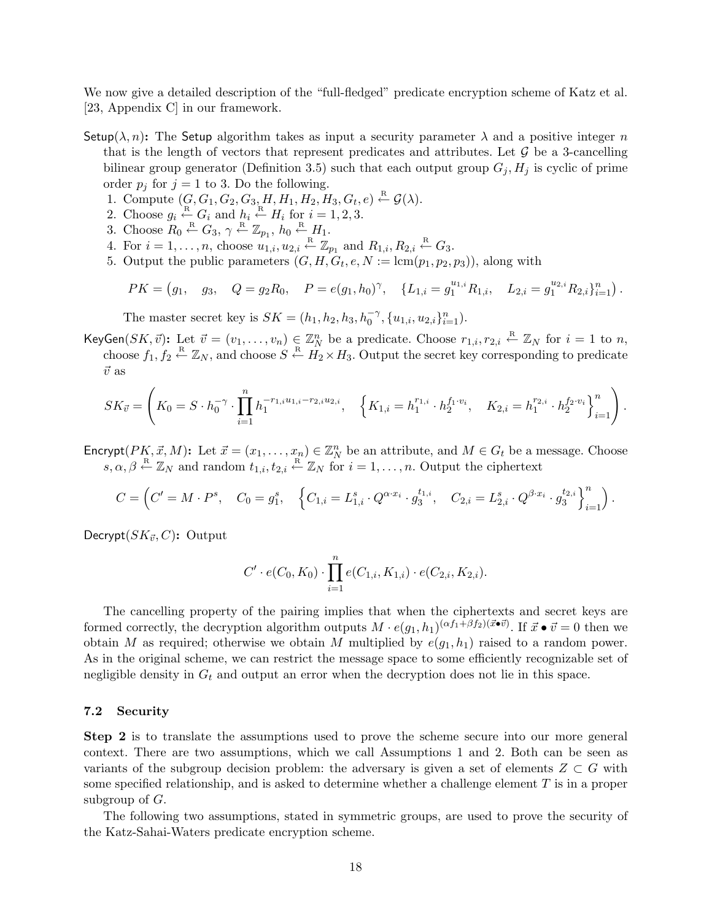We now give a detailed description of the "full-fledged" predicate encryption scheme of Katz et al. [23, Appendix C] in our framework.

- Setup( $\lambda$ , n): The Setup algorithm takes as input a security parameter  $\lambda$  and a positive integer n that is the length of vectors that represent predicates and attributes. Let  $\mathcal G$  be a 3-cancelling bilinear group generator (Definition 3.5) such that each output group  $G_i$ ,  $H_i$  is cyclic of prime order  $p_j$  for  $j = 1$  to 3. Do the following.
	- 1. Compute  $(G, G_1, G_2, G_3, H, H_1, H_2, H_3, G_t, e) \stackrel{\text{R}}{\leftarrow} \mathcal{G}(\lambda)$ .
	- 2. Choose  $g_i \stackrel{\text{R}}{\leftarrow} G_i$  and  $h_i \stackrel{\text{R}}{\leftarrow} H_i$  for  $i = 1, 2, 3$ .
	- 3. Choose  $R_0 \stackrel{\text{R}}{\leftarrow} G_3$ ,  $\gamma \stackrel{\text{R}}{\leftarrow} \mathbb{Z}_{p_1}$ ,  $h_0 \stackrel{\text{R}}{\leftarrow} H_1$ .
	- 4. For  $i = 1, \ldots, n$ , choose  $u_{1,i}, u_{2,i} \stackrel{\text{R}}{\leftarrow} \mathbb{Z}_{p_1}$  and  $R_{1,i}, R_{2,i} \stackrel{\text{R}}{\leftarrow} G_3$ .
	- 5. Output the public parameters  $(G, H, G_t, e, N := \text{lcm}(p_1, p_2, p_3))$ , along with

$$
PK = (g_1, \quad g_3, \quad Q = g_2 R_0, \quad P = e(g_1, h_0)^\gamma, \quad \{L_{1,i} = g_1^{u_{1,i}} R_{1,i}, \quad L_{2,i} = g_1^{u_{2,i}} R_{2,i}\}_{i=1}^n).
$$

The master secret key is  $SK = (h_1, h_2, h_3, h_0^{-\gamma}, \{u_{1,i}, u_{2,i}\}_{i=1}^n)$ .

KeyGen $(SK, \vec{v})$ : Let  $\vec{v} = (v_1, \ldots, v_n) \in \mathbb{Z}_N^n$  be a predicate. Choose  $r_{1,i}, r_{2,i} \leftarrow \mathbb{Z}_N$  for  $i = 1$  to n, choose  $f_1, f_2 \stackrel{\text{R}}{\leftarrow} \mathbb{Z}_N$ , and choose  $S \stackrel{\text{R}}{\leftarrow} H_2 \times H_3$ . Output the secret key corresponding to predicate  $\vec{v}$  as

$$
SK_{\vec{v}} = \left(K_0 = S \cdot h_0^{-\gamma} \cdot \prod_{i=1}^n h_1^{-r_{1,i}u_{1,i} - r_{2,i}u_{2,i}}, \quad \left\{K_{1,i} = h_1^{r_{1,i}} \cdot h_2^{f_1 \cdot v_i}, \quad K_{2,i} = h_1^{r_{2,i}} \cdot h_2^{f_2 \cdot v_i}\right\}_{i=1}^n\right).
$$

Encrypt( $PK, \vec{x}, M$ ): Let  $\vec{x} = (x_1, \ldots, x_n) \in \mathbb{Z}_N^n$  be an attribute, and  $M \in G_t$  be a message. Choose  $s, \alpha, \beta \stackrel{\text{R}}{\leftarrow} \mathbb{Z}_N$  and random  $t_{1,i}, t_{2,i} \stackrel{\text{R}}{\leftarrow} \mathbb{Z}_N$  for  $i = 1, \ldots, n$ . Output the ciphertext

$$
C = \left( C' = M \cdot P^s, \quad C_0 = g_1^s, \quad \left\{ C_{1,i} = L_{1,i}^s \cdot Q^{\alpha \cdot x_i} \cdot g_3^{t_{1,i}}, \quad C_{2,i} = L_{2,i}^s \cdot Q^{\beta \cdot x_i} \cdot g_3^{t_{2,i}} \right\}_{i=1}^n \right).
$$

Decrypt $(SK_{\vec{v}}, C)$ : Output

$$
C' \cdot e(C_0, K_0) \cdot \prod_{i=1}^n e(C_{1,i}, K_{1,i}) \cdot e(C_{2,i}, K_{2,i}).
$$

The cancelling property of the pairing implies that when the ciphertexts and secret keys are formed correctly, the decryption algorithm outputs  $M \cdot e(g_1, h_1)^{(\alpha f_1 + \beta f_2)(\vec{x} \cdot \vec{v})}$ . If  $\vec{x} \cdot \vec{v} = 0$  then we obtain M as required; otherwise we obtain M multiplied by  $e(g_1, h_1)$  raised to a random power. As in the original scheme, we can restrict the message space to some efficiently recognizable set of negligible density in  $G_t$  and output an error when the decryption does not lie in this space.

#### 7.2 Security

Step 2 is to translate the assumptions used to prove the scheme secure into our more general context. There are two assumptions, which we call Assumptions 1 and 2. Both can be seen as variants of the subgroup decision problem: the adversary is given a set of elements  $Z \subset G$  with some specified relationship, and is asked to determine whether a challenge element  $T$  is in a proper subgroup of G.

The following two assumptions, stated in symmetric groups, are used to prove the security of the Katz-Sahai-Waters predicate encryption scheme.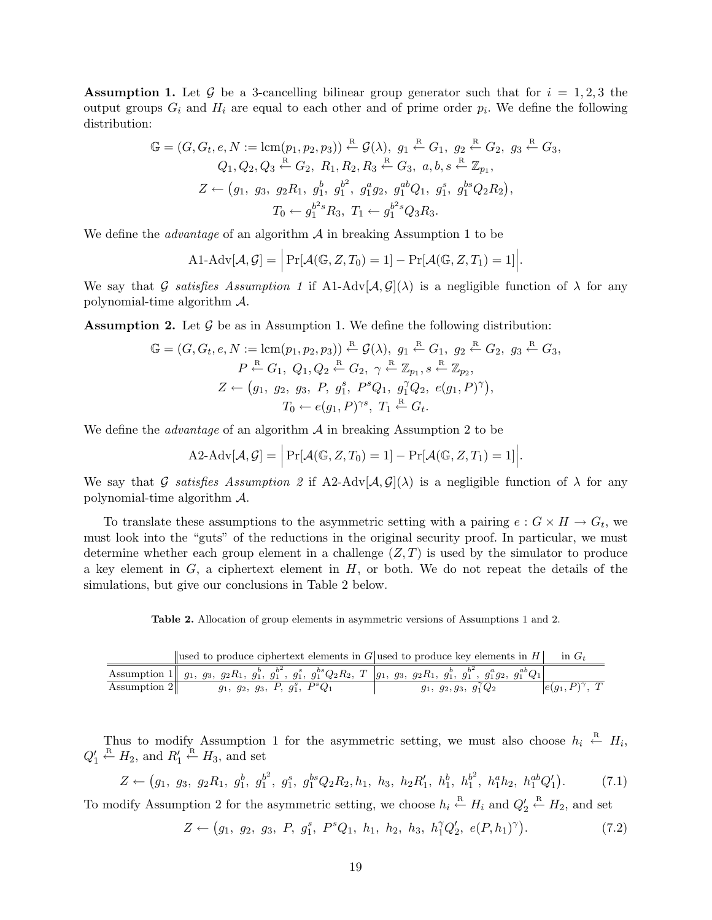**Assumption 1.** Let G be a 3-cancelling bilinear group generator such that for  $i = 1, 2, 3$  the output groups  $G_i$  and  $H_i$  are equal to each other and of prime order  $p_i$ . We define the following distribution:

$$
\mathbb{G} = (G, G_t, e, N := \text{lcm}(p_1, p_2, p_3)) \stackrel{\text{R}}{\leftarrow} \mathcal{G}(\lambda), g_1 \stackrel{\text{R}}{\leftarrow} G_1, g_2 \stackrel{\text{R}}{\leftarrow} G_2, g_3 \stackrel{\text{R}}{\leftarrow} G_3, Q_1, Q_2, Q_3 \stackrel{\text{R}}{\leftarrow} G_2, R_1, R_2, R_3 \stackrel{\text{R}}{\leftarrow} G_3, a, b, s \stackrel{\text{R}}{\leftarrow} \mathbb{Z}_{p_1}, Z \leftarrow (g_1, g_3, g_2 R_1, g_1^b, g_1^{b^2}, g_1^a g_2, g_1^{ab} Q_1, g_1^s, g_1^{bs} Q_2 R_2), T_0 \leftarrow g_1^{b^2s} R_3, T_1 \leftarrow g_1^{b^2s} Q_3 R_3.
$$

We define the *advantage* of an algorithm  $\mathcal A$  in breaking Assumption 1 to be

$$
\text{A1-Adv}[\mathcal{A}, \mathcal{G}] = \left| \Pr[\mathcal{A}(\mathbb{G}, Z, T_0) = 1] - \Pr[\mathcal{A}(\mathbb{G}, Z, T_1) = 1] \right|.
$$

We say that G satisfies Assumption 1 if A1-Adv $[\mathcal{A}, \mathcal{G}](\lambda)$  is a negligible function of  $\lambda$  for any polynomial-time algorithm A.

**Assumption 2.** Let  $\mathcal{G}$  be as in Assumption 1. We define the following distribution:

$$
\mathbb{G} = (G, G_t, e, N := \text{lcm}(p_1, p_2, p_3)) \stackrel{\text{R}}{\leftarrow} \mathcal{G}(\lambda), g_1 \stackrel{\text{R}}{\leftarrow} G_1, g_2 \stackrel{\text{R}}{\leftarrow} G_2, g_3 \stackrel{\text{R}}{\leftarrow} G_3, \\
 P \stackrel{\text{R}}{\leftarrow} G_1, Q_1, Q_2 \stackrel{\text{R}}{\leftarrow} G_2, \gamma \stackrel{\text{R}}{\leftarrow} \mathbb{Z}_{p_1}, s \stackrel{\text{R}}{\leftarrow} \mathbb{Z}_{p_2}, \\
 Z \leftarrow (g_1, g_2, g_3, P, g_1^s, P^s Q_1, g_1^r Q_2, e(g_1, P)^\gamma), \\
 T_0 \leftarrow e(g_1, P)^\gamma, T_1 \stackrel{\text{R}}{\leftarrow} G_t.
$$

We define the *advantage* of an algorithm  $A$  in breaking Assumption 2 to be

$$
\mathrm{A2}\text{-}\mathrm{Adv}[\mathcal{A}, \mathcal{G}] = \Big|\Pr[\mathcal{A}(\mathbb{G}, Z, T_0) = 1] - \Pr[\mathcal{A}(\mathbb{G}, Z, T_1) = 1]\Big|.
$$

We say that G satisfies Assumption 2 if A2-Adv[ $\mathcal{A}, \mathcal{G}(\lambda)$  is a negligible function of  $\lambda$  for any polynomial-time algorithm A.

To translate these assumptions to the asymmetric setting with a pairing  $e: G \times H \to G_t$ , we must look into the "guts" of the reductions in the original security proof. In particular, we must determine whether each group element in a challenge  $(Z, T)$  is used by the simulator to produce a key element in  $G$ , a ciphertext element in  $H$ , or both. We do not repeat the details of the simulations, but give our conclusions in Table 2 below.

Table 2. Allocation of group elements in asymmetric versions of Assumptions 1 and 2.

|              | subset to produce ciphertext elements in $G$ used to produce key elements in $H$                                                                 |                                   | $\overline{\text{in } G_t}$ |
|--------------|--------------------------------------------------------------------------------------------------------------------------------------------------|-----------------------------------|-----------------------------|
|              | Assumption 1 $g_1, g_3, g_2R_1, g_1^b, g_1^{b^2}, g_1^s, g_1^{bs}Q_2R_2, T \mid g_1, g_3, g_2R_1, g_1^b, g_1^{b^2}, g_1^a g_2, g_1^{ab}Q_1 \mid$ |                                   |                             |
| Assumption 2 | $g_1, g_2, g_3, P, g_1^s, P^sQ_1$                                                                                                                | $g_1, g_2, g_3, g_1^{\gamma} Q_2$ | $ e(g_1, P)^\gamma, T $     |

Thus to modify Assumption 1 for the asymmetric setting, we must also choose  $h_i \stackrel{R}{\leftarrow} H_i$ ,  $Q'_1 \stackrel{\text{R}}{\leftarrow} H_2$ , and  $R'_1 \stackrel{\text{R}}{\leftarrow} H_3$ , and set

$$
Z \leftarrow (g_1, g_3, g_2 R_1, g_1^b, g_1^{b^2}, g_1^s, g_1^{bs} Q_2 R_2, h_1, h_3, h_2 R_1', h_1^b, h_1^{b^2}, h_1^{a} h_2, h_1^{ab} Q_1').
$$
 (7.1)

To modify Assumption 2 for the asymmetric setting, we choose  $h_i \stackrel{\text{R}}{\leftarrow} H_i$  and  $Q'_2 \stackrel{\text{R}}{\leftarrow} H_2$ , and set

$$
Z \leftarrow (g_1, g_2, g_3, P, g_1^s, P^s Q_1, h_1, h_2, h_3, h_1^{\gamma} Q_2', e(P, h_1)^{\gamma}). \tag{7.2}
$$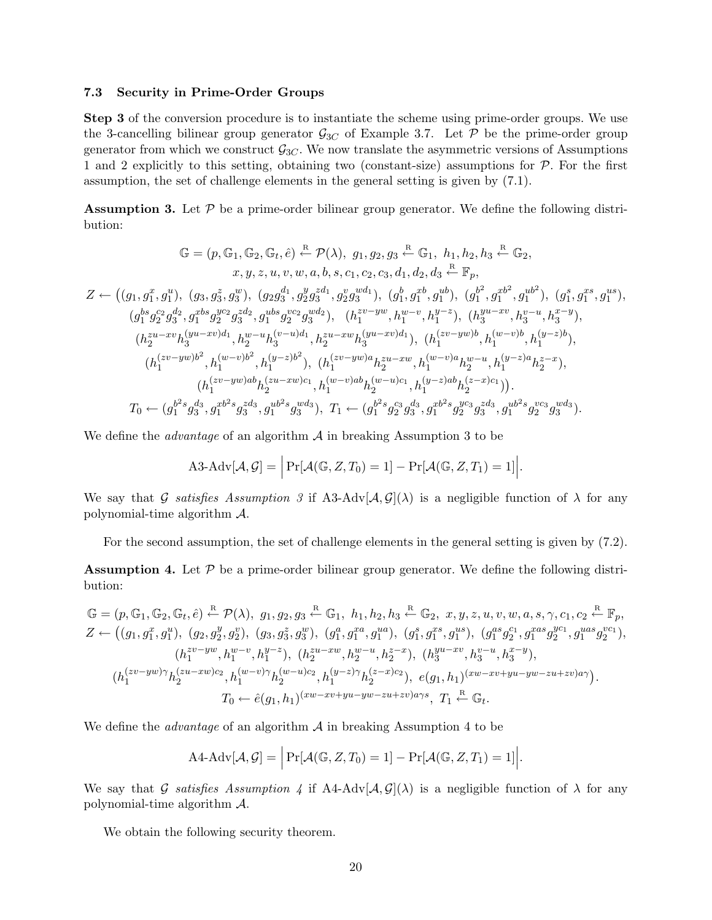#### 7.3 Security in Prime-Order Groups

Step 3 of the conversion procedure is to instantiate the scheme using prime-order groups. We use the 3-cancelling bilinear group generator  $\mathcal{G}_{3C}$  of Example 3.7. Let P be the prime-order group generator from which we construct  $\mathcal{G}_{3C}$ . We now translate the asymmetric versions of Assumptions 1 and 2 explicitly to this setting, obtaining two (constant-size) assumptions for  $P$ . For the first assumption, the set of challenge elements in the general setting is given by (7.1).

**Assumption 3.** Let  $P$  be a prime-order bilinear group generator. We define the following distribution:

$$
\mathbb{G} = (p, \mathbb{G}_1, \mathbb{G}_2, \mathbb{G}_t, \hat{e}) \stackrel{\text{R}}{\leftarrow} \mathcal{P}(\lambda), g_1, g_2, g_3 \stackrel{\text{R}}{\leftarrow} \mathbb{G}_1, h_1, h_2, h_3 \stackrel{\text{R}}{\leftarrow} \mathbb{G}_2, x, y, z, u, v, w, a, b, s, c_1, c_2, c_3, d_1, d_2, d_3 \stackrel{\text{R}}{\leftarrow} \mathbb{F}_p,
$$
  
\n
$$
Z \leftarrow ((g_1, g_1^x, g_1^u), (g_3, g_3^z, g_3^w), (g_2g_3^{d_1}, g_2^y g_3^{d_1}, g_2^v g_3^{wd_1}), (g_1^b, g_1^{xb}, g_1^{ub}), (g_1^b, g_1^{rb}, g_1^{ub}), (g_1^s, g_1^{rs}, g_1^{us}),
$$
  
\n
$$
(g_1^{bs} g_2^{c_2} g_3^{d_2}, g_1^{abs} g_2^{yc_2} g_3^{zd_2}, g_1^{abs} g_2^{cc_2} g_3^{wd_2}), (h_1^{zv-yw}, h_1^{w-v}, h_1^{y-z}), (h_3^{yu-xv}, h_3^{v-u}, h_3^{x-y}),
$$
  
\n
$$
(h_2^{zu-xv} h_3^{(yu-xv)d_1}, h_2^{w-u} h_3^{(v-u)d_1}, h_2^{zu-xw} h_3^{(yu-xv)d_1}), (h_1^{(zv-yw)b}, h_1^{(w-v)b}, h_1^{(y-z)b}),
$$
  
\n
$$
(h_1^{(zv-yw)b^2}, h_1^{(w-v)b^2}, h_1^{(y-z)b^2}), (h_1^{(zv-yw)a} h_2^{zu-xw}, h_1^{(w-v)a} h_2^{w-u}, h_1^{(y-z)a} h_2^{z-x}),
$$
  
\n
$$
(h_1^{(zv-yw)ab} h_2^{(zu-xw)c_1}, h_1^{(w-v)ab} h_2^{(w-u)c_1}, h_1^{(y-z)ab} h_2^{(z-x)c_1})).
$$
  
\n
$$
T_0 \leftarrow (g_1^{b^2
$$

We define the *advantage* of an algorithm  $A$  in breaking Assumption 3 to be

$$
\text{A3-Adv}[\mathcal{A}, \mathcal{G}] = \left| \Pr[\mathcal{A}(\mathbb{G}, Z, T_0) = 1] - \Pr[\mathcal{A}(\mathbb{G}, Z, T_1) = 1] \right|.
$$

We say that G satisfies Assumption 3 if A3-Adv $[\mathcal{A}, \mathcal{G}](\lambda)$  is a negligible function of  $\lambda$  for any polynomial-time algorithm A.

For the second assumption, the set of challenge elements in the general setting is given by (7.2).

**Assumption 4.** Let  $\mathcal{P}$  be a prime-order bilinear group generator. We define the following distribution:

$$
\mathbb{G} = (p, \mathbb{G}_1, \mathbb{G}_2, \mathbb{G}_t, \hat{e}) \stackrel{\text{R}}{\leftarrow} \mathcal{P}(\lambda), g_1, g_2, g_3 \stackrel{\text{R}}{\leftarrow} \mathbb{G}_1, h_1, h_2, h_3 \stackrel{\text{R}}{\leftarrow} \mathbb{G}_2, x, y, z, u, v, w, a, s, \gamma, c_1, c_2 \stackrel{\text{R}}{\leftarrow} \mathbb{F}_p, Z \leftarrow ((g_1, g_1^x, g_1^u), (g_2, g_2^y, g_2^v), (g_3, g_3^z, g_3^w), (g_1^a, g_1^{xa}, g_1^{ua}), (g_1^s, g_1^{xs}, g_1^{us}), (g_1^{as} g_2^{ca}, g_1^{as} g_2^{yc}, g_1^{aas} g_2^{vc}) ,(h_1^{zv-yw}, h_1^{w-v}, h_1^{y-z}), (h_2^{zu-xw}, h_2^{w-u}, h_2^{z-x}), (h_3^{yu-xv}, h_3^{v-u}, h_3^{x-y}),(h_1^{(zv-yw)\gamma}h_2^{(zu-xw)c_2}, h_1^{(w-v)\gamma}h_2^{(w-u)c_2}, h_1^{(y-z)\gamma}h_2^{(z-x)c_2}), e(g_1, h_1)^{(xw-xv+yu-yw-zu+zv)a\gamma}.
$$

$$
T_0 \leftarrow \hat{e}(g_1, h_1)^{(xw-xv+yu-yw-zu+zv)a\gamma s}, T_1 \stackrel{\text{R}}{\leftarrow} \mathbb{G}_t.
$$

We define the *advantage* of an algorithm  $A$  in breaking Assumption 4 to be

$$
\text{A4-Adv}[\mathcal{A}, \mathcal{G}] = \left| \Pr[\mathcal{A}(\mathbb{G}, Z, T_0) = 1] - \Pr[\mathcal{A}(\mathbb{G}, Z, T_1) = 1] \right|.
$$

We say that G satisfies Assumption 4 if A4-Adv $[\mathcal{A}, \mathcal{G}](\lambda)$  is a negligible function of  $\lambda$  for any polynomial-time algorithm A.

We obtain the following security theorem.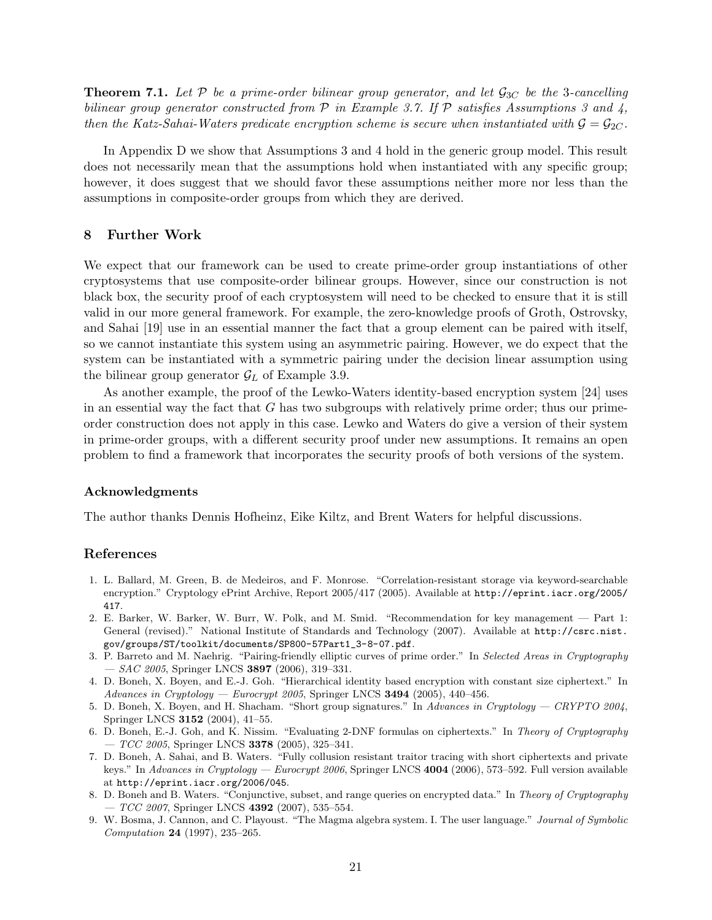**Theorem 7.1.** Let P be a prime-order bilinear group generator, and let  $\mathcal{G}_{3C}$  be the 3-cancelling bilinear group generator constructed from  $P$  in Example 3.7. If  $P$  satisfies Assumptions 3 and 4, then the Katz-Sahai-Waters predicate encryption scheme is secure when instantiated with  $\mathcal{G} = \mathcal{G}_{2C}$ .

In Appendix D we show that Assumptions 3 and 4 hold in the generic group model. This result does not necessarily mean that the assumptions hold when instantiated with any specific group; however, it does suggest that we should favor these assumptions neither more nor less than the assumptions in composite-order groups from which they are derived.

### 8 Further Work

We expect that our framework can be used to create prime-order group instantiations of other cryptosystems that use composite-order bilinear groups. However, since our construction is not black box, the security proof of each cryptosystem will need to be checked to ensure that it is still valid in our more general framework. For example, the zero-knowledge proofs of Groth, Ostrovsky, and Sahai [19] use in an essential manner the fact that a group element can be paired with itself, so we cannot instantiate this system using an asymmetric pairing. However, we do expect that the system can be instantiated with a symmetric pairing under the decision linear assumption using the bilinear group generator  $\mathcal{G}_L$  of Example 3.9.

As another example, the proof of the Lewko-Waters identity-based encryption system [24] uses in an essential way the fact that  $G$  has two subgroups with relatively prime order; thus our primeorder construction does not apply in this case. Lewko and Waters do give a version of their system in prime-order groups, with a different security proof under new assumptions. It remains an open problem to find a framework that incorporates the security proofs of both versions of the system.

### Acknowledgments

The author thanks Dennis Hofheinz, Eike Kiltz, and Brent Waters for helpful discussions.

### References

- 1. L. Ballard, M. Green, B. de Medeiros, and F. Monrose. "Correlation-resistant storage via keyword-searchable encryption." Cryptology ePrint Archive, Report 2005/417 (2005). Available at http://eprint.iacr.org/2005/ 417.
- 2. E. Barker, W. Barker, W. Burr, W. Polk, and M. Smid. "Recommendation for key management Part 1: General (revised)." National Institute of Standards and Technology (2007). Available at http://csrc.nist. gov/groups/ST/toolkit/documents/SP800-57Part1\_3-8-07.pdf.
- 3. P. Barreto and M. Naehrig. "Pairing-friendly elliptic curves of prime order." In Selected Areas in Cryptography  $-$  SAC 2005, Springer LNCS 3897 (2006), 319-331.
- 4. D. Boneh, X. Boyen, and E.-J. Goh. "Hierarchical identity based encryption with constant size ciphertext." In  $Advances in Cryptology - Eurocrypt 2005$ , Springer LNCS 3494 (2005), 440-456.
- 5. D. Boneh, X. Boyen, and H. Shacham. "Short group signatures." In Advances in Cryptology CRYPTO 2004, Springer LNCS 3152 (2004), 41–55.
- 6. D. Boneh, E.-J. Goh, and K. Nissim. "Evaluating 2-DNF formulas on ciphertexts." In Theory of Cryptography  $-TCC$  2005, Springer LNCS 3378 (2005), 325-341.
- 7. D. Boneh, A. Sahai, and B. Waters. "Fully collusion resistant traitor tracing with short ciphertexts and private keys." In Advances in Cryptology — Eurocrypt 2006, Springer LNCS 4004 (2006), 573–592. Full version available at http://eprint.iacr.org/2006/045.
- 8. D. Boneh and B. Waters. "Conjunctive, subset, and range queries on encrypted data." In Theory of Cryptography  $- TCC$  2007, Springer LNCS 4392 (2007), 535–554.
- 9. W. Bosma, J. Cannon, and C. Playoust. "The Magma algebra system. I. The user language." Journal of Symbolic Computation 24 (1997), 235–265.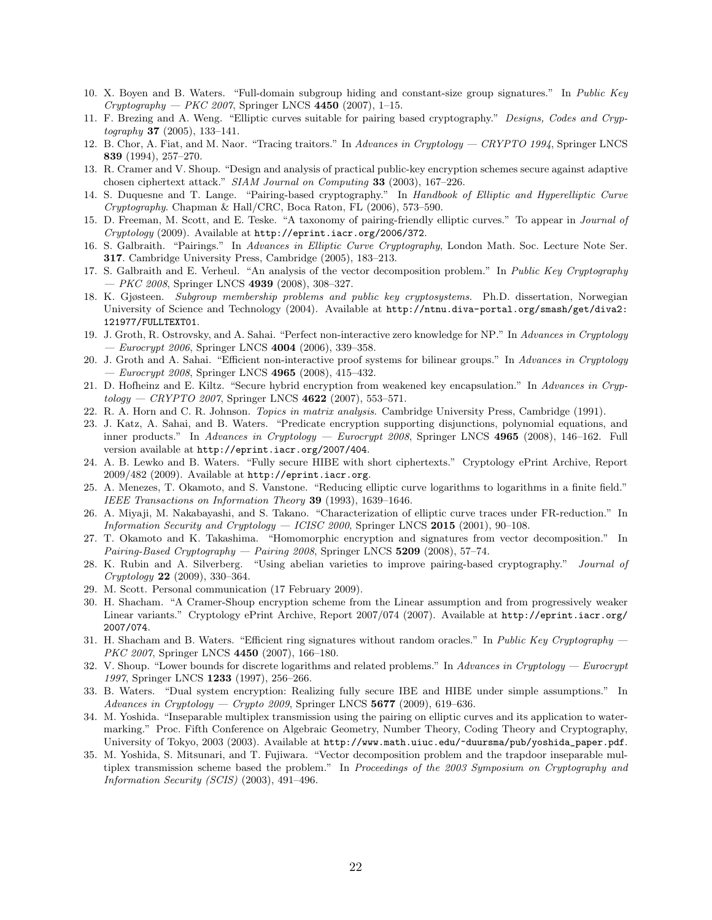- 10. X. Boyen and B. Waters. "Full-domain subgroup hiding and constant-size group signatures." In Public Key  $Cryptography - PKC 2007$ , Springer LNCS 4450 (2007), 1-15.
- 11. F. Brezing and A. Weng. "Elliptic curves suitable for pairing based cryptography." Designs, Codes and Cryp $to graphy$  37 (2005), 133-141.
- 12. B. Chor, A. Fiat, and M. Naor. "Tracing traitors." In Advances in Cryptology CRYPTO 1994, Springer LNCS 839 (1994), 257–270.
- 13. R. Cramer and V. Shoup. "Design and analysis of practical public-key encryption schemes secure against adaptive chosen ciphertext attack." SIAM Journal on Computing 33 (2003), 167–226.
- 14. S. Duquesne and T. Lange. "Pairing-based cryptography." In Handbook of Elliptic and Hyperelliptic Curve Cryptography. Chapman & Hall/CRC, Boca Raton, FL (2006), 573–590.
- 15. D. Freeman, M. Scott, and E. Teske. "A taxonomy of pairing-friendly elliptic curves." To appear in Journal of Cryptology (2009). Available at http://eprint.iacr.org/2006/372.
- 16. S. Galbraith. "Pairings." In Advances in Elliptic Curve Cryptography, London Math. Soc. Lecture Note Ser. 317. Cambridge University Press, Cambridge (2005), 183–213.
- 17. S. Galbraith and E. Verheul. "An analysis of the vector decomposition problem." In Public Key Cryptography  $-$  *PKC 2008*, Springer LNCS 4939 (2008), 308–327.
- 18. K. Gjøsteen. Subgroup membership problems and public key cryptosystems. Ph.D. dissertation, Norwegian University of Science and Technology (2004). Available at http://ntnu.diva-portal.org/smash/get/diva2: 121977/FULLTEXT01.
- 19. J. Groth, R. Ostrovsky, and A. Sahai. "Perfect non-interactive zero knowledge for NP." In Advances in Cryptology  $-$  *Eurocrypt 2006*, Springer LNCS 4004 (2006), 339–358.
- 20. J. Groth and A. Sahai. "Efficient non-interactive proof systems for bilinear groups." In Advances in Cryptology  $-$  *Eurocrypt 2008*, Springer LNCS 4965 (2008), 415–432.
- 21. D. Hofheinz and E. Kiltz. "Secure hybrid encryption from weakened key encapsulation." In Advances in Cryp $tology - C RYPTO 2007$ , Springer LNCS 4622 (2007), 553-571.
- 22. R. A. Horn and C. R. Johnson. Topics in matrix analysis. Cambridge University Press, Cambridge (1991).
- 23. J. Katz, A. Sahai, and B. Waters. "Predicate encryption supporting disjunctions, polynomial equations, and inner products." In Advances in Cryptology — Eurocrypt 2008, Springer LNCS 4965 (2008), 146-162. Full version available at http://eprint.iacr.org/2007/404.
- 24. A. B. Lewko and B. Waters. "Fully secure HIBE with short ciphertexts." Cryptology ePrint Archive, Report 2009/482 (2009). Available at http://eprint.iacr.org.
- 25. A. Menezes, T. Okamoto, and S. Vanstone. "Reducing elliptic curve logarithms to logarithms in a finite field." IEEE Transactions on Information Theory 39 (1993), 1639–1646.
- 26. A. Miyaji, M. Nakabayashi, and S. Takano. "Characterization of elliptic curve traces under FR-reduction." In Information Security and Cryptology — ICISC 2000, Springer LNCS  $2015$  (2001), 90-108.
- 27. T. Okamoto and K. Takashima. "Homomorphic encryption and signatures from vector decomposition." In Pairing-Based Cryptography — Pairing 2008, Springer LNCS  $5209$  (2008), 57-74.
- 28. K. Rubin and A. Silverberg. "Using abelian varieties to improve pairing-based cryptography." Journal of Cryptology 22 (2009), 330–364.
- 29. M. Scott. Personal communication (17 February 2009).
- 30. H. Shacham. "A Cramer-Shoup encryption scheme from the Linear assumption and from progressively weaker Linear variants." Cryptology ePrint Archive, Report 2007/074 (2007). Available at http://eprint.iacr.org/ 2007/074.
- 31. H. Shacham and B. Waters. "Efficient ring signatures without random oracles." In Public Key Cryptography PKC 2007, Springer LNCS 4450 (2007), 166-180.
- 32. V. Shoup. "Lower bounds for discrete logarithms and related problems." In Advances in Cryptology Eurocrypt 1997, Springer LNCS 1233 (1997), 256-266.
- 33. B. Waters. "Dual system encryption: Realizing fully secure IBE and HIBE under simple assumptions." In Advances in Cryptology — Crypto 2009, Springer LNCS  $5677$  (2009), 619–636.
- 34. M. Yoshida. "Inseparable multiplex transmission using the pairing on elliptic curves and its application to watermarking." Proc. Fifth Conference on Algebraic Geometry, Number Theory, Coding Theory and Cryptography, University of Tokyo, 2003 (2003). Available at http://www.math.uiuc.edu/~duursma/pub/yoshida\_paper.pdf.
- 35. M. Yoshida, S. Mitsunari, and T. Fujiwara. "Vector decomposition problem and the trapdoor inseparable multiplex transmission scheme based the problem." In Proceedings of the 2003 Symposium on Cryptography and Information Security (SCIS) (2003), 491–496.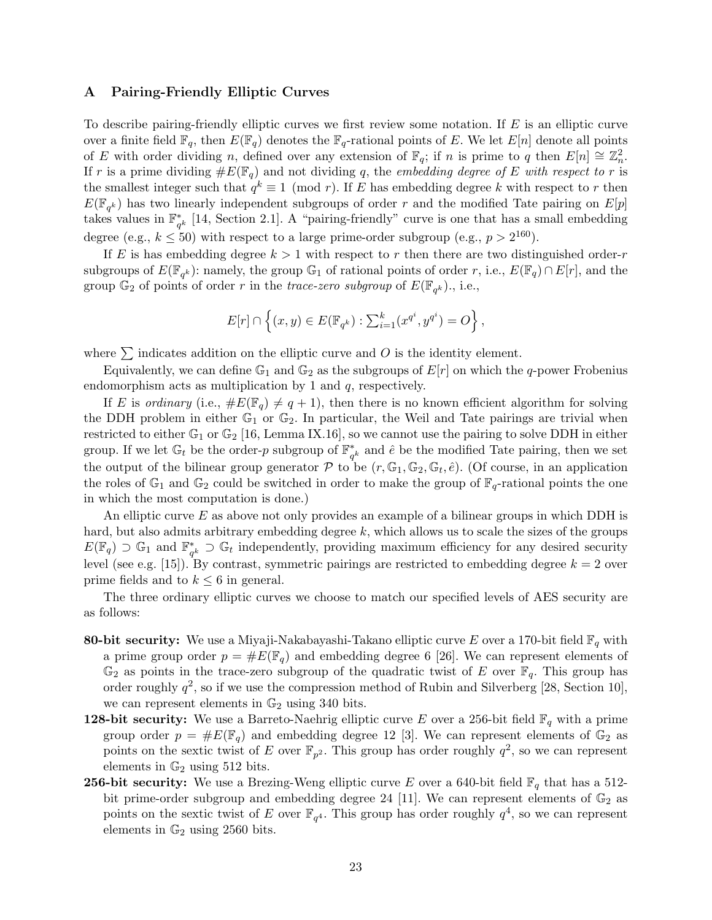# A Pairing-Friendly Elliptic Curves

To describe pairing-friendly elliptic curves we first review some notation. If E is an elliptic curve over a finite field  $\mathbb{F}_q$ , then  $E(\mathbb{F}_q)$  denotes the  $\mathbb{F}_q$ -rational points of E. We let  $E[n]$  denote all points of E with order dividing n, defined over any extension of  $\mathbb{F}_q$ ; if n is prime to q then  $E[n] \cong \mathbb{Z}_n^2$ . If r is a prime dividing  $\#E(\mathbb{F}_q)$  and not dividing q, the *embedding degree of* E with respect to r is the smallest integer such that  $q^k \equiv 1 \pmod{r}$ . If E has embedding degree k with respect to r then  $E(\mathbb{F}_{q^k})$  has two linearly independent subgroups of order r and the modified Tate pairing on  $E[p]$ takes values in  $\mathbb{F}_q^*$  $_{q^k}^*$  [14, Section 2.1]. A "pairing-friendly" curve is one that has a small embedding degree (e.g.,  $k \leq 50$ ) with respect to a large prime-order subgroup (e.g.,  $p > 2^{160}$ ).

If E is has embedding degree  $k > 1$  with respect to r then there are two distinguished order-r subgroups of  $E(\mathbb{F}_{q^k})$ : namely, the group  $\mathbb{G}_1$  of rational points of order r, i.e.,  $E(\mathbb{F}_q) \cap E[r]$ , and the group  $\mathbb{G}_2$  of points of order r in the trace-zero subgroup of  $E(\mathbb{F}_{q^k})$ ., i.e.,

$$
E[r] \cap \left\{ (x, y) \in E(\mathbb{F}_{q^k}) : \sum_{i=1}^k (x^{q^i}, y^{q^i}) = O \right\},\
$$

where  $\sum$  indicates addition on the elliptic curve and O is the identity element.

Equivalently, we can define  $\mathbb{G}_1$  and  $\mathbb{G}_2$  as the subgroups of  $E[r]$  on which the q-power Frobenius endomorphism acts as multiplication by 1 and q, respectively.

If E is ordinary (i.e.,  $\#E(\mathbb{F}_q) \neq q + 1$ ), then there is no known efficient algorithm for solving the DDH problem in either  $\mathbb{G}_1$  or  $\mathbb{G}_2$ . In particular, the Weil and Tate pairings are trivial when restricted to either  $\mathbb{G}_1$  or  $\mathbb{G}_2$  [16, Lemma IX.16], so we cannot use the pairing to solve DDH in either group. If we let  $\mathbb{G}_t$  be the order-p subgroup of  $\mathbb{F}_q^*$  $_{q^k}^*$  and  $\hat{e}$  be the modified Tate pairing, then we set the output of the bilinear group generator  $P$  to be  $(r, \mathbb{G}_1, \mathbb{G}_2, \mathbb{G}_t, \hat{e})$ . (Of course, in an application the roles of  $\mathbb{G}_1$  and  $\mathbb{G}_2$  could be switched in order to make the group of  $\mathbb{F}_q$ -rational points the one in which the most computation is done.)

An elliptic curve  $E$  as above not only provides an example of a bilinear groups in which DDH is hard, but also admits arbitrary embedding degree  $k$ , which allows us to scale the sizes of the groups  $E(\mathbb{F}_q) \supset \mathbb{G}_1$  and  $\mathbb{F}_q^*$  $_{q^k}^*$  ⊃  $\mathbb{G}_t$  independently, providing maximum efficiency for any desired security level (see e.g. [15]). By contrast, symmetric pairings are restricted to embedding degree  $k = 2$  over prime fields and to  $k \leq 6$  in general.

The three ordinary elliptic curves we choose to match our specified levels of AES security are as follows:

- 80-bit security: We use a Miyaji-Nakabayashi-Takano elliptic curve E over a 170-bit field  $\mathbb{F}_q$  with a prime group order  $p = \#E(\mathbb{F}_q)$  and embedding degree 6 [26]. We can represent elements of  $\mathbb{G}_2$  as points in the trace-zero subgroup of the quadratic twist of E over  $\mathbb{F}_q$ . This group has order roughly  $q^2$ , so if we use the compression method of Rubin and Silverberg [28, Section 10], we can represent elements in  $\mathbb{G}_2$  using 340 bits.
- **128-bit security:** We use a Barreto-Naehrig elliptic curve E over a 256-bit field  $\mathbb{F}_q$  with a prime group order  $p = \#E(\mathbb{F}_q)$  and embedding degree 12 [3]. We can represent elements of  $\mathbb{G}_2$  as points on the sextic twist of E over  $\mathbb{F}_{p^2}$ . This group has order roughly  $q^2$ , so we can represent elements in  $\mathbb{G}_2$  using 512 bits.
- **256-bit security:** We use a Brezing-Weng elliptic curve E over a 640-bit field  $\mathbb{F}_q$  that has a 512bit prime-order subgroup and embedding degree 24 [11]. We can represent elements of  $\mathbb{G}_2$  as points on the sextic twist of E over  $\mathbb{F}_{q^4}$ . This group has order roughly  $q^4$ , so we can represent elements in  $\mathbb{G}_2$  using 2560 bits.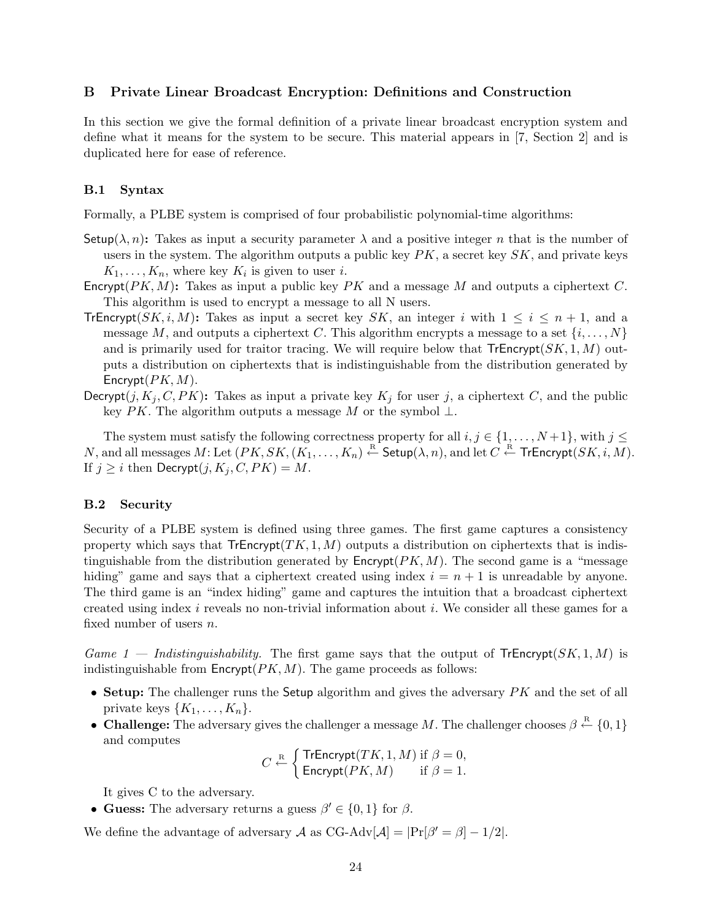# B Private Linear Broadcast Encryption: Definitions and Construction

In this section we give the formal definition of a private linear broadcast encryption system and define what it means for the system to be secure. This material appears in [7, Section 2] and is duplicated here for ease of reference.

### B.1 Syntax

Formally, a PLBE system is comprised of four probabilistic polynomial-time algorithms:

- Setup( $\lambda$ , n): Takes as input a security parameter  $\lambda$  and a positive integer n that is the number of users in the system. The algorithm outputs a public key  $PK$ , a secret key  $SK$ , and private keys  $K_1, \ldots, K_n$ , where key  $K_i$  is given to user *i*.
- Encrypt( $PK, M$ ): Takes as input a public key  $PK$  and a message M and outputs a ciphertext C. This algorithm is used to encrypt a message to all N users.
- **TrEncrypt**(SK, i, M): Takes as input a secret key SK, an integer i with  $1 \leq i \leq n+1$ , and a message M, and outputs a ciphertext C. This algorithm encrypts a message to a set  $\{i, \ldots, N\}$ and is primarily used for traitor tracing. We will require below that  $\mathsf{Tr}\mathsf{Encrypt}(SK, 1, M)$  outputs a distribution on ciphertexts that is indistinguishable from the distribution generated by Encrypt $(PK, M)$ .
- Decrypt(j,  $K_i$ , C, PK): Takes as input a private key  $K_i$  for user j, a ciphertext C, and the public key PK. The algorithm outputs a message M or the symbol  $\perp$ .

The system must satisfy the following correctness property for all  $i, j \in \{1, ..., N+1\}$ , with  $j \leq$  $N,$  and all messages  $M$ : Let  $(PK, SK, (K_1, \ldots, K_n) \stackrel{\text{R}}{\leftarrow} \mathsf{Setup}(\lambda,n),$  and let  $C \stackrel{\text{R}}{\leftarrow} \mathsf{Tr}\mathsf{Encryption}(SK, i, M).$ If  $j > i$  then Decrypt $(j, K<sub>i</sub>, C, PK) = M$ .

# B.2 Security

Security of a PLBE system is defined using three games. The first game captures a consistency property which says that  $TFEncrypt(TK, 1, M)$  outputs a distribution on ciphertexts that is indistinguishable from the distribution generated by  $\mathsf{Encrypt}(PK, M)$ . The second game is a "message hiding" game and says that a ciphertext created using index  $i = n + 1$  is unreadable by anyone. The third game is an "index hiding" game and captures the intuition that a broadcast ciphertext created using index i reveals no non-trivial information about i. We consider all these games for a fixed number of users n.

Game 1 — Indistinguishability. The first game says that the output of  $Tr\text{Error}(\mathcal{S}K, 1, M)$  is indistinguishable from  $\mathsf{Encrypt}(PK, M)$ . The game proceeds as follows:

- Setup: The challenger runs the Setup algorithm and gives the adversary  $PK$  and the set of all private keys  $\{K_1, \ldots, K_n\}.$
- Challenge: The adversary gives the challenger a message M. The challenger chooses  $\beta \stackrel{\text{R}}{\leftarrow} \{0,1\}$ and computes

$$
C \stackrel{\text{R}}{\leftarrow} \begin{cases} \text{TrEncrypt}(TK, 1, M) \text{ if } \beta = 0, \\ \text{Encrypt}(PK, M) \text{ if } \beta = 1. \end{cases}
$$

It gives C to the adversary.

• Guess: The adversary returns a guess  $\beta' \in \{0, 1\}$  for  $\beta$ .

We define the advantage of adversary A as CG-Adv $[\mathcal{A}] = |\Pr[\beta' = \beta] - 1/2|$ .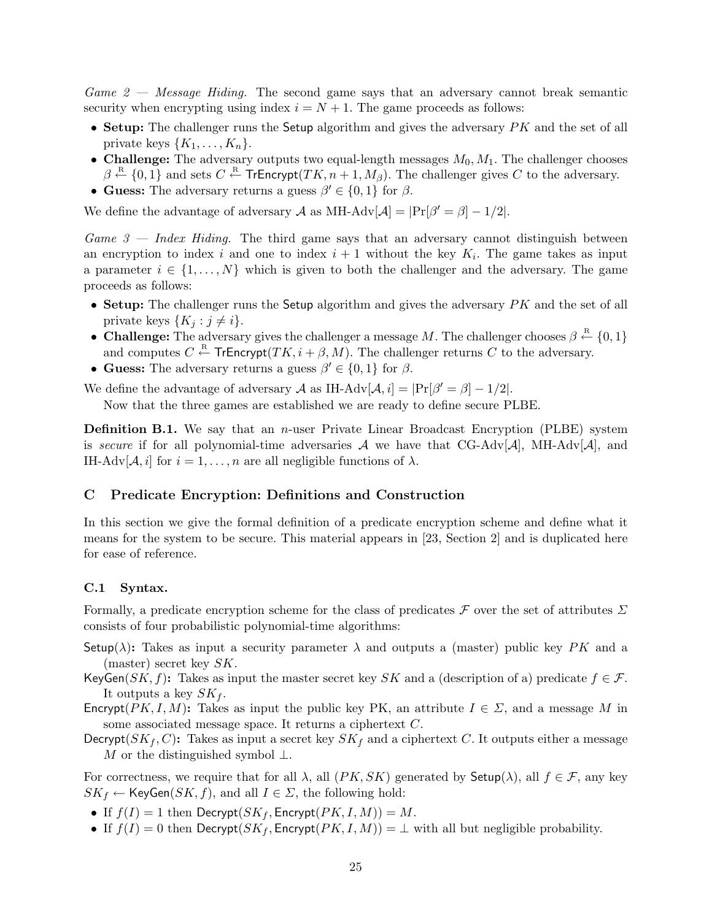Game  $2$  — Message Hiding. The second game says that an adversary cannot break semantic security when encrypting using index  $i = N + 1$ . The game proceeds as follows:

- Setup: The challenger runs the Setup algorithm and gives the adversary  $PK$  and the set of all private keys  $\{K_1, \ldots, K_n\}.$
- Challenge: The adversary outputs two equal-length messages  $M_0, M_1$ . The challenger chooses  $\beta \stackrel{R}{\leftarrow} \{0,1\}$  and sets  $C \stackrel{R}{\leftarrow}$  TrEncrypt $(TK, n+1, M_\beta)$ . The challenger gives  $C$  to the adversary.
- Guess: The adversary returns a guess  $\beta' \in \{0,1\}$  for  $\beta$ .

We define the advantage of adversary A as MH-Adv $[A] = |Pr[\beta' = \beta] - 1/2|$ .

 $Game 3 - Index Hiding$ . The third game says that an adversary cannot distinguish between an encryption to index i and one to index  $i + 1$  without the key  $K_i$ . The game takes as input a parameter  $i \in \{1, \ldots, N\}$  which is given to both the challenger and the adversary. The game proceeds as follows:

- Setup: The challenger runs the Setup algorithm and gives the adversary  $PK$  and the set of all private keys  $\{K_j : j \neq i\}.$
- Challenge: The adversary gives the challenger a message M. The challenger chooses  $\beta \leftarrow \{0,1\}$ and computes  $C \stackrel{\text{R}}{\leftarrow}$  TrEncrypt $(TK, i + \beta, M)$ . The challenger returns C to the adversary.
- Guess: The adversary returns a guess  $\beta' \in \{0, 1\}$  for  $\beta$ .

We define the advantage of adversary A as IH-Adv $[A, i] = |Pr[\beta' = \beta] - 1/2|$ .

Now that the three games are established we are ready to define secure PLBE.

**Definition B.1.** We say that an *n*-user Private Linear Broadcast Encryption (PLBE) system is secure if for all polynomial-time adversaries A we have that  $CG-Adv[\mathcal{A}]$ , MH-Adv $[\mathcal{A}]$ , and IH-Adv $[\mathcal{A}, i]$  for  $i = 1, \ldots, n$  are all negligible functions of  $\lambda$ .

## C Predicate Encryption: Definitions and Construction

In this section we give the formal definition of a predicate encryption scheme and define what it means for the system to be secure. This material appears in [23, Section 2] and is duplicated here for ease of reference.

### C.1 Syntax.

Formally, a predicate encryption scheme for the class of predicates  $\mathcal F$  over the set of attributes  $\Sigma$ consists of four probabilistic polynomial-time algorithms:

- Setup( $\lambda$ ): Takes as input a security parameter  $\lambda$  and outputs a (master) public key PK and a (master) secret key  $SK$ .
- KeyGen( $SK, f$ ): Takes as input the master secret key SK and a (description of a) predicate  $f \in \mathcal{F}$ . It outputs a key  $SK_f$ .
- Encrypt( $PK, I, M$ ): Takes as input the public key PK, an attribute  $I \in \Sigma$ , and a message M in some associated message space. It returns a ciphertext C.
- Decrypt( $SK_f, C$ ): Takes as input a secret key  $SK_f$  and a ciphertext C. It outputs either a message M or the distinguished symbol  $\perp$ .

For correctness, we require that for all  $\lambda$ , all  $(PK, SK)$  generated by Setup( $\lambda$ ), all  $f \in \mathcal{F}$ , any key  $SK_f \leftarrow \mathsf{KeyGen}(SK, f)$ , and all  $I \in \Sigma$ , the following hold:

- If  $f(I) = 1$  then Decrypt( $SK_f$ , Encrypt( $PK, I, M$ )) = M.
- If  $f(I) = 0$  then Decrypt( $SK_f$ , Encrypt( $PK, I, M$ )) =  $\perp$  with all but negligible probability.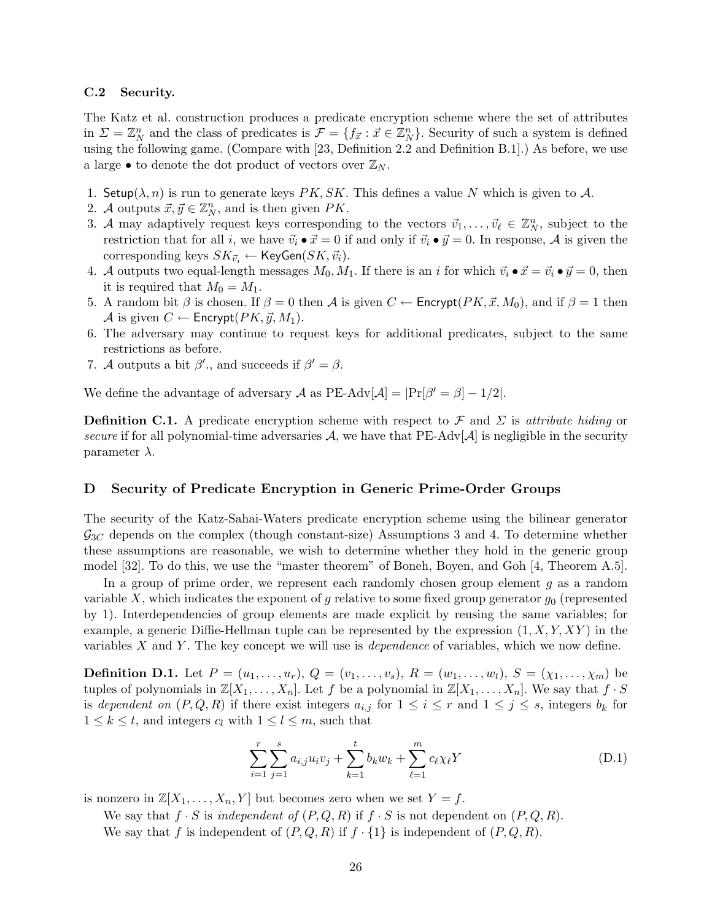#### C.2 Security.

The Katz et al. construction produces a predicate encryption scheme where the set of attributes in  $\Sigma = \mathbb{Z}_N^n$  and the class of predicates is  $\mathcal{F} = \{f_{\vec{x}} : \vec{x} \in \mathbb{Z}_N^n\}$ . Security of such a system is defined using the following game. (Compare with [23, Definition 2.2 and Definition B.1].) As before, we use a large  $\bullet$  to denote the dot product of vectors over  $\mathbb{Z}_N$ .

- 1. Setup( $\lambda$ , n) is run to generate keys PK, SK. This defines a value N which is given to A.
- 2. A outputs  $\vec{x}, \vec{y} \in \mathbb{Z}_N^n$ , and is then given  $PK$ .
- 3. A may adaptively request keys corresponding to the vectors  $\vec{v}_1, \ldots, \vec{v}_{\ell} \in \mathbb{Z}_N^n$ , subject to the restriction that for all i, we have  $\vec{v}_i \bullet \vec{x} = 0$  if and only if  $\vec{v}_i \bullet \vec{y} = 0$ . In response, A is given the corresponding keys  $SK_{\vec{v}_i} \leftarrow \mathsf{KeyGen}(SK, \vec{v}_i)$ .
- 4. A outputs two equal-length messages  $M_0, M_1$ . If there is an i for which  $\vec{v}_i \bullet \vec{x} = \vec{v}_i \bullet \vec{y} = 0$ , then it is required that  $M_0 = M_1$ .
- 5. A random bit  $\beta$  is chosen. If  $\beta = 0$  then  $\mathcal A$  is given  $C \leftarrow$  Encrypt( $PK, \vec{x}, M_0$ ), and if  $\beta = 1$  then A is given  $C \leftarrow$  Encrypt $(PK, \vec{y}, M_1)$ .
- 6. The adversary may continue to request keys for additional predicates, subject to the same restrictions as before.
- 7. A outputs a bit  $\beta'$ , and succeeds if  $\beta' = \beta$ .

We define the advantage of adversary A as  $PE-Adv[\mathcal{A}] = |Pr[\beta' = \beta] - 1/2|$ .

**Definition C.1.** A predicate encryption scheme with respect to F and  $\Sigma$  is attribute hiding or secure if for all polynomial-time adversaries  $\mathcal{A}$ , we have that PE-Adv[ $\mathcal{A}$ ] is negligible in the security parameter  $\lambda$ .

### D Security of Predicate Encryption in Generic Prime-Order Groups

The security of the Katz-Sahai-Waters predicate encryption scheme using the bilinear generator  $\mathcal{G}_{3C}$  depends on the complex (though constant-size) Assumptions 3 and 4. To determine whether these assumptions are reasonable, we wish to determine whether they hold in the generic group model [32]. To do this, we use the "master theorem" of Boneh, Boyen, and Goh [4, Theorem A.5].

In a group of prime order, we represent each randomly chosen group element  $g$  as a random variable X, which indicates the exponent of g relative to some fixed group generator  $g_0$  (represented by 1). Interdependencies of group elements are made explicit by reusing the same variables; for example, a generic Diffie-Hellman tuple can be represented by the expression  $(1, X, Y, XY)$  in the variables  $X$  and  $Y$ . The key concept we will use is *dependence* of variables, which we now define.

**Definition D.1.** Let  $P = (u_1, \ldots, u_r), Q = (v_1, \ldots, v_s), R = (w_1, \ldots, w_t), S = (\chi_1, \ldots, \chi_m)$  be tuples of polynomials in  $\mathbb{Z}[X_1,\ldots,X_n]$ . Let f be a polynomial in  $\mathbb{Z}[X_1,\ldots,X_n]$ . We say that  $f \cdot S$ is dependent on  $(P,Q,R)$  if there exist integers  $a_{i,j}$  for  $1 \leq i \leq r$  and  $1 \leq j \leq s$ , integers  $b_k$  for  $1 \leq k \leq t$ , and integers  $c_l$  with  $1 \leq l \leq m$ , such that

$$
\sum_{i=1}^{r} \sum_{j=1}^{s} a_{i,j} u_i v_j + \sum_{k=1}^{t} b_k w_k + \sum_{\ell=1}^{m} c_{\ell} \chi_{\ell} Y \tag{D.1}
$$

is nonzero in  $\mathbb{Z}[X_1,\ldots,X_n,Y]$  but becomes zero when we set  $Y=f$ .

We say that  $f \cdot S$  is independent of  $(P,Q,R)$  if  $f \cdot S$  is not dependent on  $(P,Q,R)$ .

We say that f is independent of  $(P, Q, R)$  if  $f \cdot \{1\}$  is independent of  $(P, Q, R)$ .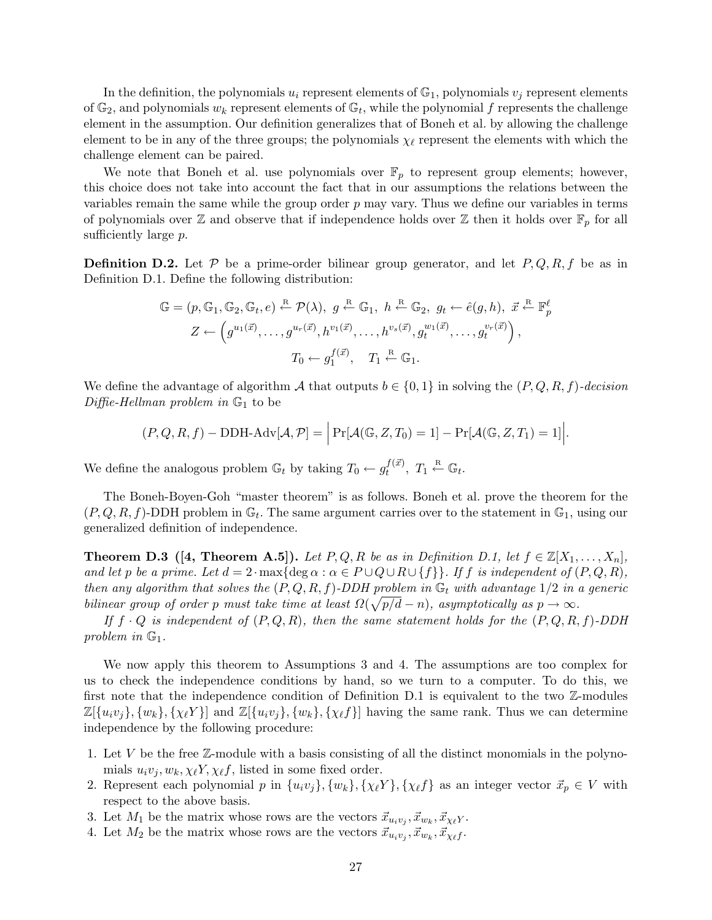In the definition, the polynomials  $u_i$  represent elements of  $\mathbb{G}_1$ , polynomials  $v_j$  represent elements of  $\mathbb{G}_2$ , and polynomials  $w_k$  represent elements of  $\mathbb{G}_t$ , while the polynomial f represents the challenge element in the assumption. Our definition generalizes that of Boneh et al. by allowing the challenge element to be in any of the three groups; the polynomials  $\chi_{\ell}$  represent the elements with which the challenge element can be paired.

We note that Boneh et al. use polynomials over  $\mathbb{F}_p$  to represent group elements; however, this choice does not take into account the fact that in our assumptions the relations between the variables remain the same while the group order  $p$  may vary. Thus we define our variables in terms of polynomials over  $\mathbb Z$  and observe that if independence holds over  $\mathbb Z$  then it holds over  $\mathbb F_p$  for all sufficiently large p.

**Definition D.2.** Let P be a prime-order bilinear group generator, and let  $P, Q, R, f$  be as in Definition D.1. Define the following distribution:

$$
\mathbb{G} = (p, \mathbb{G}_1, \mathbb{G}_2, \mathbb{G}_t, e) \stackrel{\text{R}}{\leftarrow} \mathcal{P}(\lambda), \ g \stackrel{\text{R}}{\leftarrow} \mathbb{G}_1, \ h \stackrel{\text{R}}{\leftarrow} \mathbb{G}_2, \ g_t \leftarrow \hat{e}(g, h), \ \vec{x} \stackrel{\text{R}}{\leftarrow} \mathbb{F}_p^{\ell}
$$

$$
Z \leftarrow \left(g^{u_1(\vec{x})}, \dots, g^{u_r(\vec{x})}, h^{v_1(\vec{x})}, \dots, h^{v_s(\vec{x})}, g_t^{w_1(\vec{x})}, \dots, g_t^{v_r(\vec{x})}\right),
$$

$$
T_0 \leftarrow g_1^{f(\vec{x})}, \quad T_1 \stackrel{\text{R}}{\leftarrow} \mathbb{G}_1.
$$

We define the advantage of algorithm A that outputs  $b \in \{0,1\}$  in solving the  $(P,Q,R,f)$ -decision Diffie-Hellman problem in  $\mathbb{G}_1$  to be

$$
(P,Q,R,f) - DDH-Adv[\mathcal{A},\mathcal{P}] = \Big|\Pr[\mathcal{A}(\mathbb{G},Z,T_0) = 1] - \Pr[\mathcal{A}(\mathbb{G},Z,T_1) = 1]\Big|.
$$

We define the analogous problem  $\mathbb{G}_t$  by taking  $T_0 \leftarrow g_t^{f(\vec{x})}$  $t^{f(\vec{x})}, T_1 \stackrel{\text{R}}{\leftarrow} \mathbb{G}_t.$ 

The Boneh-Boyen-Goh "master theorem" is as follows. Boneh et al. prove the theorem for the  $(P, Q, R, f)$ -DDH problem in  $\mathbb{G}_t$ . The same argument carries over to the statement in  $\mathbb{G}_1$ , using our generalized definition of independence.

**Theorem D.3** ([4, Theorem A.5]). Let P, Q, R be as in Definition D.1, let  $f \in \mathbb{Z}[X_1, \ldots, X_n]$ , and let p be a prime. Let  $d = 2 \cdot \max\{\deg \alpha : \alpha \in P \cup Q \cup R \cup \{f\}\}\$ . If f is independent of  $(P, Q, R)$ , then any algorithm that solves the  $(P,Q,R,f)$ -DDH problem in  $\mathbb{G}_t$  with advantage  $1/2$  in a generic bilinear group of order p must take time at least  $\Omega(\sqrt{p/d}-n)$ , asymptotically as  $p \to \infty$ .

If  $f \cdot Q$  is independent of  $(P, Q, R)$ , then the same statement holds for the  $(P, Q, R, f)$ -DDH problem in  $\mathbb{G}_1$ .

We now apply this theorem to Assumptions 3 and 4. The assumptions are too complex for us to check the independence conditions by hand, so we turn to a computer. To do this, we first note that the independence condition of Definition D.1 is equivalent to the two Z-modules  $\mathbb{Z}[\{u_iv_j\}, \{w_k\}, \{\chi_\ell Y\}]$  and  $\mathbb{Z}[\{u_iv_j\}, \{w_k\}, \{\chi_\ell f\}]$  having the same rank. Thus we can determine independence by the following procedure:

- 1. Let V be the free Z-module with a basis consisting of all the distinct monomials in the polynomials  $u_i v_j, w_k, \chi_\ell Y, \chi_\ell f$ , listed in some fixed order.
- 2. Represent each polynomial p in  $\{u_i v_j\}$ ,  $\{w_k\}$ ,  $\{\chi_\ell Y\}$ ,  $\{\chi_\ell f\}$  as an integer vector  $\vec{x}_p \in V$  with respect to the above basis.
- 3. Let  $M_1$  be the matrix whose rows are the vectors  $\vec{x}_{u_i v_j}, \vec{x}_{w_k}, \vec{x}_{\chi_\ell Y}$ .
- 4. Let  $M_2$  be the matrix whose rows are the vectors  $\vec{x}_{u_i v_j}, \vec{x}_{w_k}, \vec{x}_{\chi_\ell f}$ .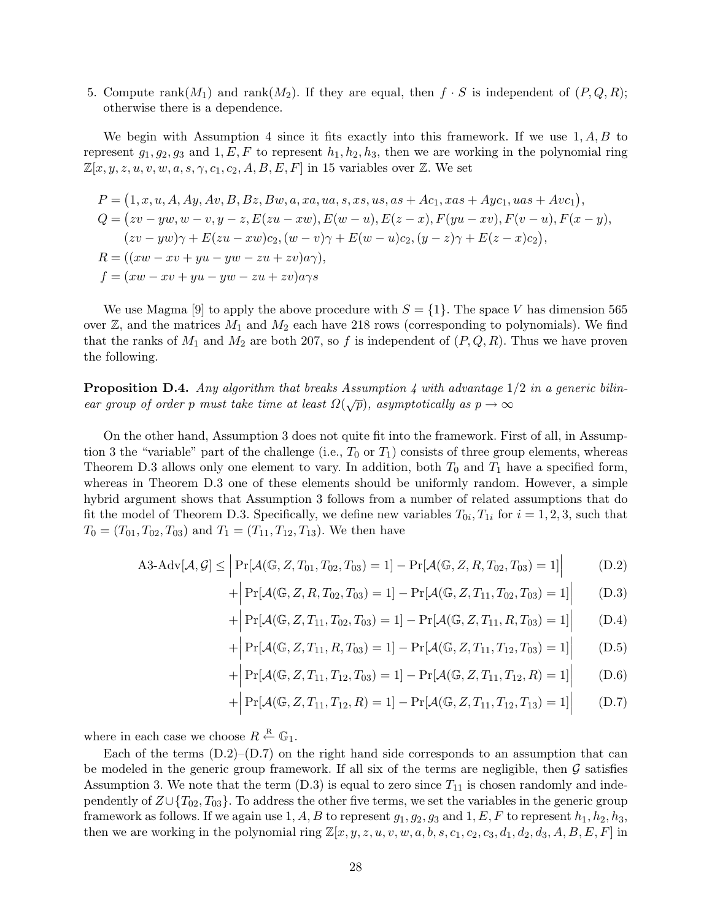5. Compute rank $(M_1)$  and rank $(M_2)$ . If they are equal, then  $f \cdot S$  is independent of  $(P, Q, R)$ ; otherwise there is a dependence.

We begin with Assumption 4 since it fits exactly into this framework. If we use  $1, A, B$  to represent  $g_1, g_2, g_3$  and  $1, E, F$  to represent  $h_1, h_2, h_3$ , then we are working in the polynomial ring  $\mathbb{Z}[x, y, z, u, v, w, a, s, \gamma, c_1, c_2, A, B, E, F]$  in 15 variables over  $\mathbb{Z}$ . We set

$$
P = (1, x, u, A, Ay, Av, B, Bz, Bw, a, xa, ua, s, xs, us, as + Ac1, xas + Ayc1, uas + Avc1),\nQ = (zv - yw, w - v, y - z, E(zu - xw), E(w - u), E(z - x), F(yu - xv), F(v - u), F(x - y),\n(zv - yw) \gamma + E(zu - xw) c2, (w - v) \gamma + E(w - u) c2, (y - z) \gamma + E(z - x) c2),\nR = ((xw - xv + yu - yw - zu + zv)a\gamma),\nf = (xw - xv + yu - yw - zu + zv)a\gamma s
$$

We use Magma [9] to apply the above procedure with  $S = \{1\}$ . The space V has dimension 565 over  $\mathbb{Z}$ , and the matrices  $M_1$  and  $M_2$  each have 218 rows (corresponding to polynomials). We find that the ranks of  $M_1$  and  $M_2$  are both 207, so f is independent of  $(P, Q, R)$ . Thus we have proven the following.

**Proposition D.4.** Any algorithm that breaks Assumption 4 with advantage  $1/2$  in a generic bilinear group of order p must take time at least  $\Omega(\sqrt{p})$ , asymptotically as  $p \to \infty$ 

On the other hand, Assumption 3 does not quite fit into the framework. First of all, in Assumption 3 the "variable" part of the challenge (i.e.,  $T_0$  or  $T_1$ ) consists of three group elements, whereas Theorem D.3 allows only one element to vary. In addition, both  $T_0$  and  $T_1$  have a specified form, whereas in Theorem D.3 one of these elements should be uniformly random. However, a simple hybrid argument shows that Assumption 3 follows from a number of related assumptions that do fit the model of Theorem D.3. Specifically, we define new variables  $T_{0i}$ ,  $T_{1i}$  for  $i = 1, 2, 3$ , such that  $T_0 = (T_{01}, T_{02}, T_{03})$  and  $T_1 = (T_{11}, T_{12}, T_{13})$ . We then have

$$
\text{A3-Adv}[\mathcal{A}, \mathcal{G}] \le \left| \Pr[\mathcal{A}(\mathbb{G}, Z, T_{01}, T_{02}, T_{03}) = 1] - \Pr[\mathcal{A}(\mathbb{G}, Z, R, T_{02}, T_{03}) = 1] \right| \tag{D.2}
$$

$$
+ \left| \Pr[\mathcal{A}(\mathbb{G}, Z, R, T_{02}, T_{03}) = 1] - \Pr[\mathcal{A}(\mathbb{G}, Z, T_{11}, T_{02}, T_{03}) = 1] \right| \tag{D.3}
$$

$$
+ \left| \Pr[\mathcal{A}(\mathbb{G}, Z, T_{11}, T_{02}, T_{03}) = 1] - \Pr[\mathcal{A}(\mathbb{G}, Z, T_{11}, R, T_{03}) = 1] \right| \tag{D.4}
$$

$$
+ \left| \Pr[\mathcal{A}(\mathbb{G}, Z, T_{11}, R, T_{03}) = 1] - \Pr[\mathcal{A}(\mathbb{G}, Z, T_{11}, T_{12}, T_{03}) = 1] \right| \tag{D.5}
$$

$$
+ \left| \Pr[\mathcal{A}(\mathbb{G}, Z, T_{11}, T_{12}, T_{03}) = 1] - \Pr[\mathcal{A}(\mathbb{G}, Z, T_{11}, T_{12}, R) = 1] \right| \tag{D.6}
$$

$$
+ \left| \Pr[\mathcal{A}(\mathbb{G}, Z, T_{11}, T_{12}, R) = 1] - \Pr[\mathcal{A}(\mathbb{G}, Z, T_{11}, T_{12}, T_{13}) = 1] \right| \tag{D.7}
$$

where in each case we choose  $R \stackrel{\text{R}}{\leftarrow} \mathbb{G}_1$ .

Each of the terms  $(D.2)$ – $(D.7)$  on the right hand side corresponds to an assumption that can be modeled in the generic group framework. If all six of the terms are negligible, then  $\mathcal G$  satisfies Assumption 3. We note that the term  $(D.3)$  is equal to zero since  $T_{11}$  is chosen randomly and independently of  $Z\cup \{T_{02}, T_{03}\}$ . To address the other five terms, we set the variables in the generic group framework as follows. If we again use 1, A, B to represent  $g_1, g_2, g_3$  and  $1, E, F$  to represent  $h_1, h_2, h_3$ , then we are working in the polynomial ring  $\mathbb{Z}[x, y, z, u, v, w, a, b, s, c_1, c_2, c_3, d_1, d_2, d_3, A, B, E, F]$  in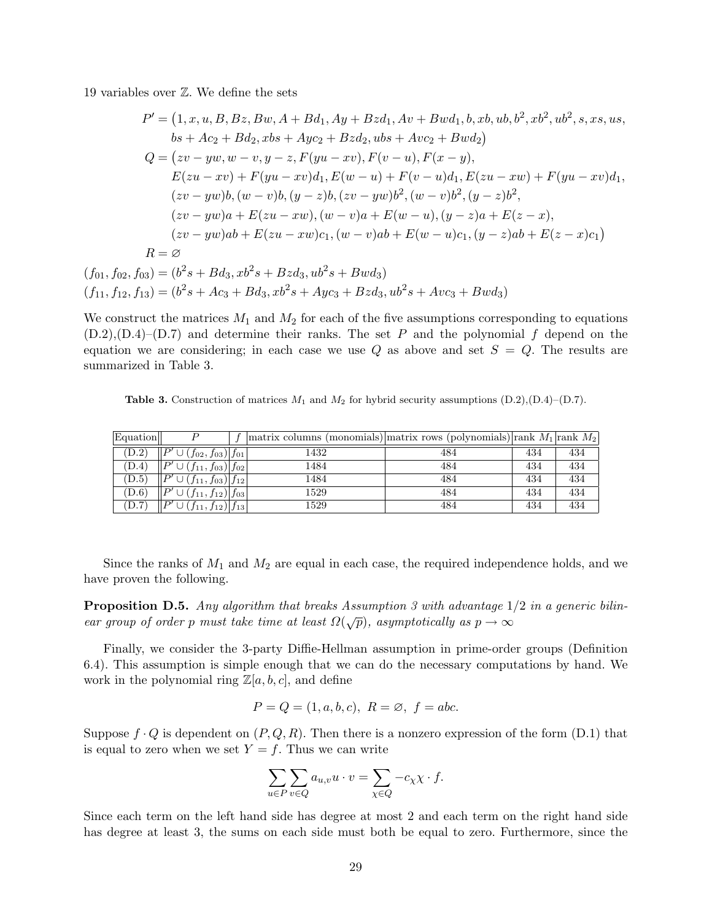19 variables over Z. We define the sets

$$
P' = (1, x, u, B, Bz, Bw, A + Bd_1, Ay + Bzd_1, Av + Bwd_1, b, xb, ub, b2, xb2, ub2, s, xs, us,\nbs + Ac2 + Bd2, xbs + Ayc2 + Bzd2, ubs + Avc2 + Bwd2)\nQ = (zv - yw, w - v, y - z, F(yu - xv), F(v - u), F(x - y),\nE(zu - xv) + F(yu - xv)dt, E(w - u) + F(v - u)dt, E(zu - xw) + F(yu - xv)dt,\n(zv - yw)b, (w - v)b, (y - z)b, (zv - yw)b2, (w - v)b2, (y - z)b2,\n(zv - yw)a + E(zu - xw), (w - v)a + E(w - u), (y - z)a + E(z - x),\n(zv - yw)ab + E(zu - xw)c1, (w - v)ab + E(w - u)c1, (y - z)ab + E(z - x)c1)\nR = \emptyset\n(f01, f02, f03) = (b2s + Bd3, xb2s + Bzd3, ub2s + Bwd3)
$$

 $(f_{11}, f_{12}, f_{13}) = (b^2s + Ac_3 + Bd_3, xb^2s + Ayc_3 + Bzd_3, ub^2s + Avc_3 + Bwd_3)$ 

We construct the matrices  $M_1$  and  $M_2$  for each of the five assumptions corresponding to equations  $(D.2), (D.4)$ – $(D.7)$  and determine their ranks. The set P and the polynomial f depend on the equation we are considering; in each case we use  $Q$  as above and set  $S = Q$ . The results are summarized in Table 3.

**Table 3.** Construction of matrices  $M_1$  and  $M_2$  for hybrid security assumptions  $(D.2),(D.4)-(D.7)$ .

| Equation |                                                   | $\vert$ matrix columns (monomials) $\vert$ matrix rows (polynomials) $\vert$ rank $M_1\vert$ rank $M_2\vert$ |     |     |     |
|----------|---------------------------------------------------|--------------------------------------------------------------------------------------------------------------|-----|-----|-----|
| (D.2)    | D'<br>$ (f_{02}, f_{03}) f_{01} $                 | 1432                                                                                                         | 484 | 434 | 434 |
| (D.4)    | $D^{\prime}$<br>$\cup$ $(f_{11}, f_{03}) f_{02} $ | 1484                                                                                                         | 484 | 434 | 434 |
| (D.5)    | $\mathcal{D}'$<br>$(f_{11}, f_{03}) f_{12} $      | 1484                                                                                                         | 484 | 434 | 434 |
| (D.6)    | $\mathcal{D}'$<br>$(f_{11}, f_{12}) f_{03} $      | 1529                                                                                                         | 484 | 434 | 434 |
| (D.7)    | $\mathbf{D}'$<br>$(f_{11}, f_{12}) f_{13} $       | 1529                                                                                                         | 484 | 434 | 434 |

Since the ranks of  $M_1$  and  $M_2$  are equal in each case, the required independence holds, and we have proven the following.

**Proposition D.5.** Any algorithm that breaks Assumption 3 with advantage  $1/2$  in a generic bilinear group of order p must take time at least  $\Omega(\sqrt{p})$ , asymptotically as  $p \to \infty$ 

Finally, we consider the 3-party Diffie-Hellman assumption in prime-order groups (Definition 6.4). This assumption is simple enough that we can do the necessary computations by hand. We work in the polynomial ring  $\mathbb{Z}[a, b, c]$ , and define

$$
P = Q = (1, a, b, c), R = \emptyset, f = abc.
$$

Suppose  $f \cdot Q$  is dependent on  $(P, Q, R)$ . Then there is a nonzero expression of the form  $(D.1)$  that is equal to zero when we set  $Y = f$ . Thus we can write

$$
\sum_{u \in P} \sum_{v \in Q} a_{u,v} u \cdot v = \sum_{\chi \in Q} -c_{\chi} \chi \cdot f.
$$

Since each term on the left hand side has degree at most 2 and each term on the right hand side has degree at least 3, the sums on each side must both be equal to zero. Furthermore, since the